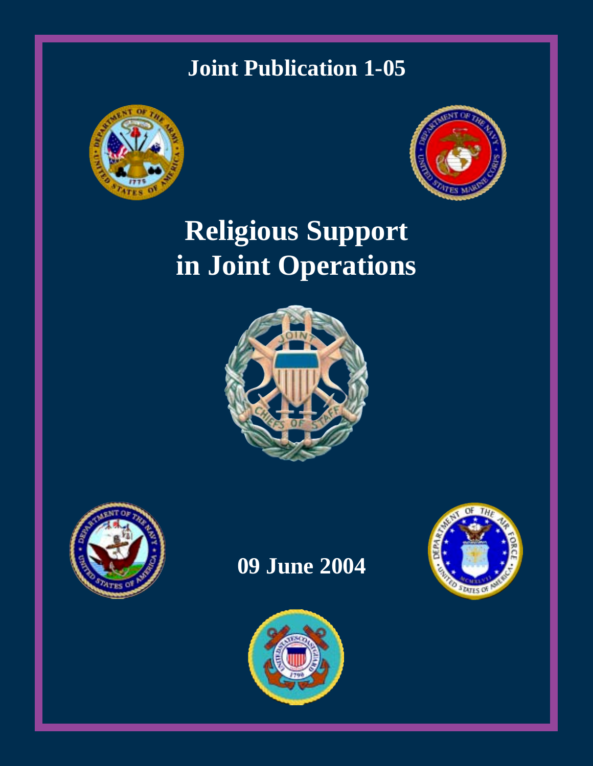# **Joint Publication 1-05**





# **Religious Support in Joint Operations**





# **09 June 2004**



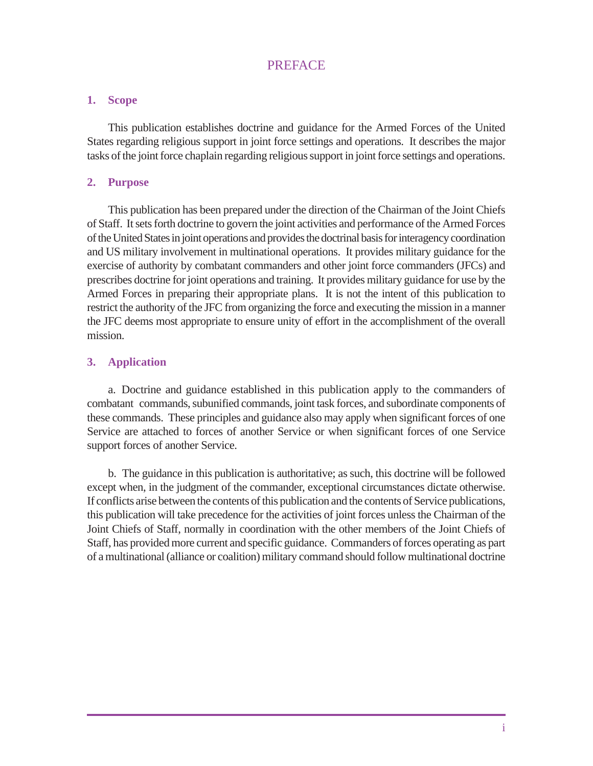# **PREFACE**

#### **1. Scope**

This publication establishes doctrine and guidance for the Armed Forces of the United States regarding religious support in joint force settings and operations. It describes the major tasks of the joint force chaplain regarding religious support in joint force settings and operations.

#### **2. Purpose**

This publication has been prepared under the direction of the Chairman of the Joint Chiefs of Staff. It sets forth doctrine to govern the joint activities and performance of the Armed Forces of the United States in joint operations and provides the doctrinal basis for interagency coordination and US military involvement in multinational operations. It provides military guidance for the exercise of authority by combatant commanders and other joint force commanders (JFCs) and prescribes doctrine for joint operations and training. It provides military guidance for use by the Armed Forces in preparing their appropriate plans. It is not the intent of this publication to restrict the authority of the JFC from organizing the force and executing the mission in a manner the JFC deems most appropriate to ensure unity of effort in the accomplishment of the overall mission.

#### **3. Application**

a. Doctrine and guidance established in this publication apply to the commanders of combatant commands, subunified commands, joint task forces, and subordinate components of these commands. These principles and guidance also may apply when significant forces of one Service are attached to forces of another Service or when significant forces of one Service support forces of another Service.

b. The guidance in this publication is authoritative; as such, this doctrine will be followed except when, in the judgment of the commander, exceptional circumstances dictate otherwise. If conflicts arise between the contents of this publication and the contents of Service publications, this publication will take precedence for the activities of joint forces unless the Chairman of the Joint Chiefs of Staff, normally in coordination with the other members of the Joint Chiefs of Staff, has provided more current and specific guidance. Commanders of forces operating as part of a multinational (alliance or coalition) military command should follow multinational doctrine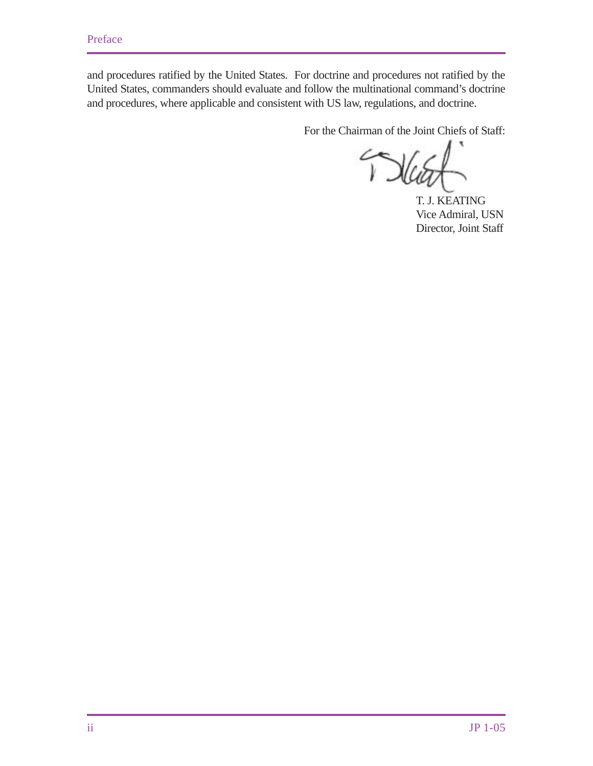and procedures ratified by the United States. For doctrine and procedures not ratified by the United States, commanders should evaluate and follow the multinational command's doctrine and procedures, where applicable and consistent with US law, regulations, and doctrine.

For the Chairman of the Joint Chiefs of Staff:

T. J. KEATING Vice Admiral, USN Director, Joint Staff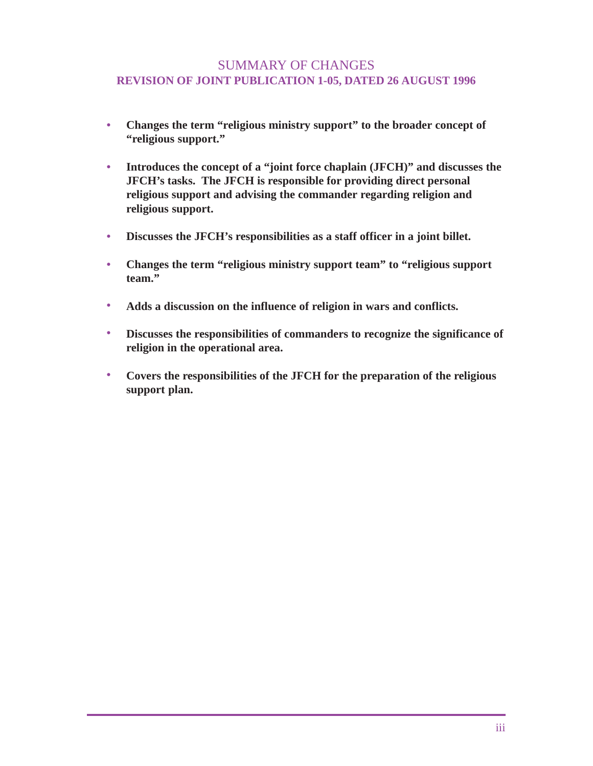# SUMMARY OF CHANGES **REVISION OF JOINT PUBLICATION 1-05, DATED 26 AUGUST 1996**

- **• Changes the term "religious ministry support" to the broader concept of "religious support."**
- **• Introduces the concept of a "joint force chaplain (JFCH)" and discusses the JFCH's tasks. The JFCH is responsible for providing direct personal religious support and advising the commander regarding religion and religious support.**
- **• Discusses the JFCH's responsibilities as a staff officer in a joint billet.**
- **• Changes the term "religious ministry support team" to "religious support team."**
- **• Adds a discussion on the influence of religion in wars and conflicts.**
- **• Discusses the responsibilities of commanders to recognize the significance of religion in the operational area.**
- **• Covers the responsibilities of the JFCH for the preparation of the religious support plan.**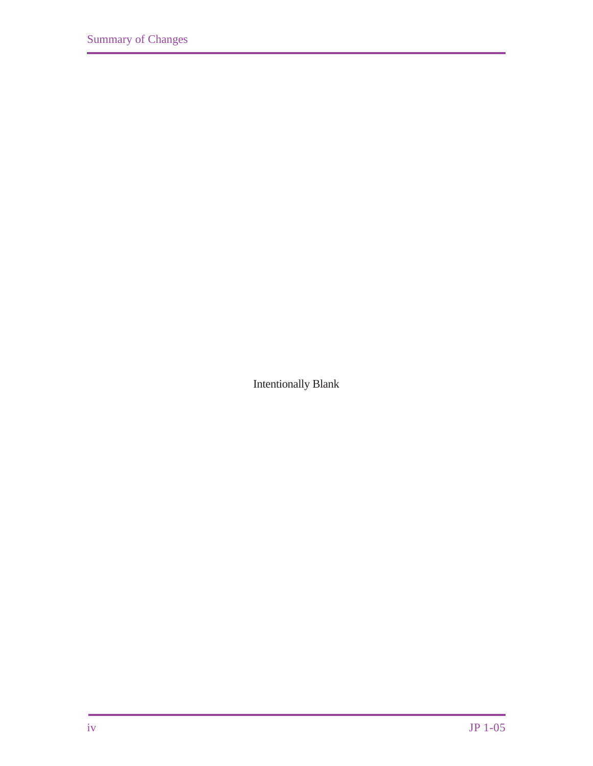Intentionally Blank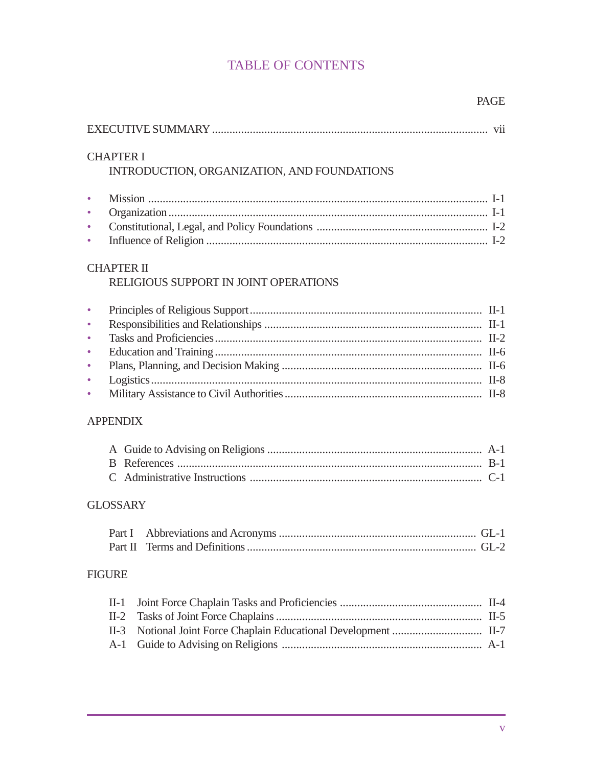# TABLE OF CONTENTS

| <b>PAGE</b>                                                     |
|-----------------------------------------------------------------|
| V11                                                             |
| <b>CHAPTER I</b><br>INTRODUCTION, ORGANIZATION, AND FOUNDATIONS |
| <b>CHAPTER II</b><br>RELIGIOUS SUPPORT IN JOINT OPERATIONS      |
| ۰                                                               |
| <b>APPENDIX</b>                                                 |
| $C-1$                                                           |
| <b>GLOSSARY</b>                                                 |
| Part I<br>Part II                                               |
| <b>FIGURE</b>                                                   |
| $II-1$<br>$II-2$<br>$II-3$<br>$A-1$                             |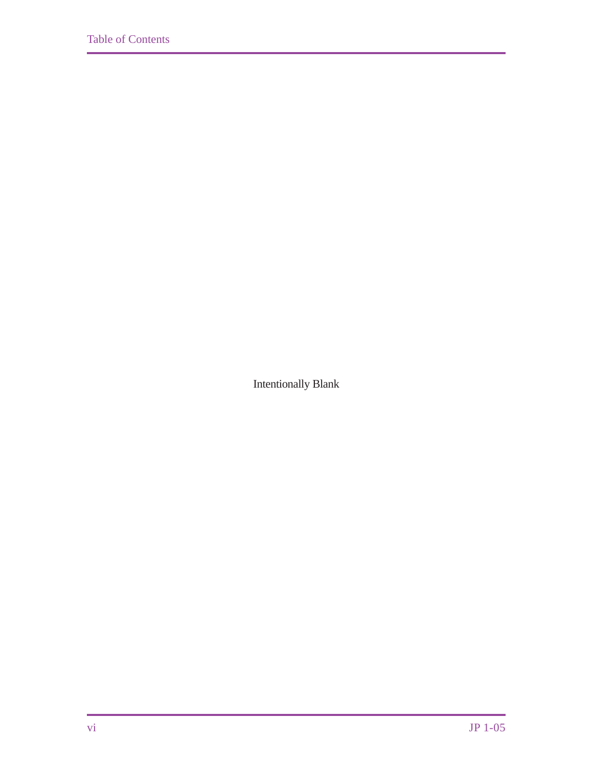Intentionally Blank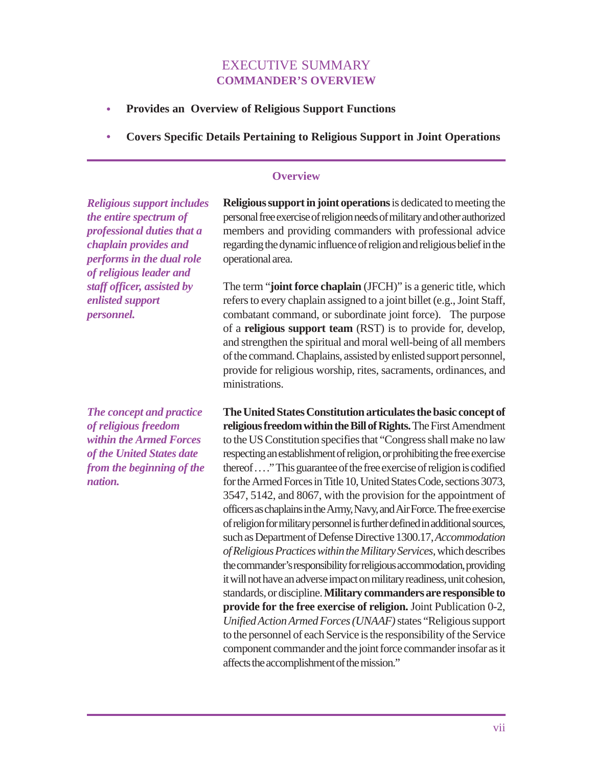# EXECUTIVE SUMMARY **COMMANDER'S OVERVIEW**

- <span id="page-7-0"></span>**• Provides an Overview of Religious Support Functions**
- **• Covers Specific Details Pertaining to Religious Support in Joint Operations**

#### **Overview**

*Religious support includes the entire spectrum of professional duties that a chaplain provides and performs in the dual role of religious leader and staff officer, assisted by enlisted support personnel.*

*The concept and practice of religious freedom within the Armed Forces of the United States date from the beginning of the nation.*

**Religious support in joint operations** is dedicated to meeting the personal free exercise of religion needs of military and other authorized members and providing commanders with professional advice regarding the dynamic influence of religion and religious belief in the operational area.

The term "**joint force chaplain** (JFCH)" is a generic title, which refers to every chaplain assigned to a joint billet (e.g., Joint Staff, combatant command, or subordinate joint force). The purpose of a **religious support team** (RST) is to provide for, develop, and strengthen the spiritual and moral well-being of all members of the command. Chaplains, assisted by enlisted support personnel, provide for religious worship, rites, sacraments, ordinances, and ministrations.

**The United States Constitution articulates the basic concept of religious freedom within the Bill of Rights.** The First Amendment to the US Constitution specifies that "Congress shall make no law respecting an establishment of religion, or prohibiting the free exercise thereof . . . ." This guarantee of the free exercise of religion is codified for the Armed Forces in Title 10, United States Code, sections 3073, 3547, 5142, and 8067, with the provision for the appointment of officers as chaplains in the Army, Navy, and Air Force. The free exercise of religion for military personnel is further defined in additional sources, such as Department of Defense Directive 1300.17, *Accommodation of Religious Practices within the Military Services*, which describes the commander's responsibility for religious accommodation, providing it will not have an adverse impact on military readiness, unit cohesion, standards, or discipline. **Military commanders are responsible to provide for the free exercise of religion.** Joint Publication 0-2, *Unified Action Armed Forces (UNAAF)* states "Religious support to the personnel of each Service is the responsibility of the Service component commander and the joint force commander insofar as it affects the accomplishment of the mission."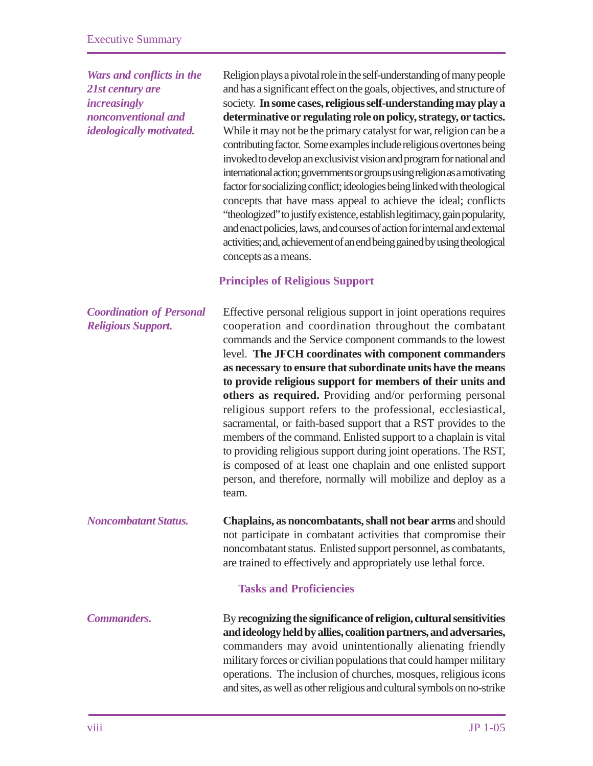*Wars and conflicts in the 21st century are increasingly nonconventional and ideologically motivated.*

Religion plays a pivotal role in the self-understanding of many people and has a significant effect on the goals, objectives, and structure of society. **In some cases, religious self-understanding may play a determinative or regulating role on policy, strategy, or tactics.** While it may not be the primary catalyst for war, religion can be a contributing factor. Some examples include religious overtones being invoked to develop an exclusivist vision and program for national and international action; governments or groups using religion as a motivating factor for socializing conflict; ideologies being linked with theological concepts that have mass appeal to achieve the ideal; conflicts "theologized" to justify existence, establish legitimacy, gain popularity, and enact policies, laws, and courses of action for internal and external activities; and, achievement of an end being gained by using theological concepts as a means.

## **Principles of Religious Support**

*Coordination of Personal Religious Support. Noncombatant Status.* Effective personal religious support in joint operations requires cooperation and coordination throughout the combatant commands and the Service component commands to the lowest level. **The JFCH coordinates with component commanders as necessary to ensure that subordinate units have the means to provide religious support for members of their units and others as required.** Providing and/or performing personal religious support refers to the professional, ecclesiastical, sacramental, or faith-based support that a RST provides to the members of the command. Enlisted support to a chaplain is vital to providing religious support during joint operations. The RST, is composed of at least one chaplain and one enlisted support person, and therefore, normally will mobilize and deploy as a team. **Chaplains, as noncombatants, shall not bear arms** and should

not participate in combatant activities that compromise their noncombatant status. Enlisted support personnel, as combatants, are trained to effectively and appropriately use lethal force.

#### **Tasks and Proficiencies**

*Commanders.* By **recognizing the significance of religion, cultural sensitivities and ideology held by allies, coalition partners, and adversaries,** commanders may avoid unintentionally alienating friendly military forces or civilian populations that could hamper military operations. The inclusion of churches, mosques, religious icons and sites, as well as other religious and cultural symbols on no-strike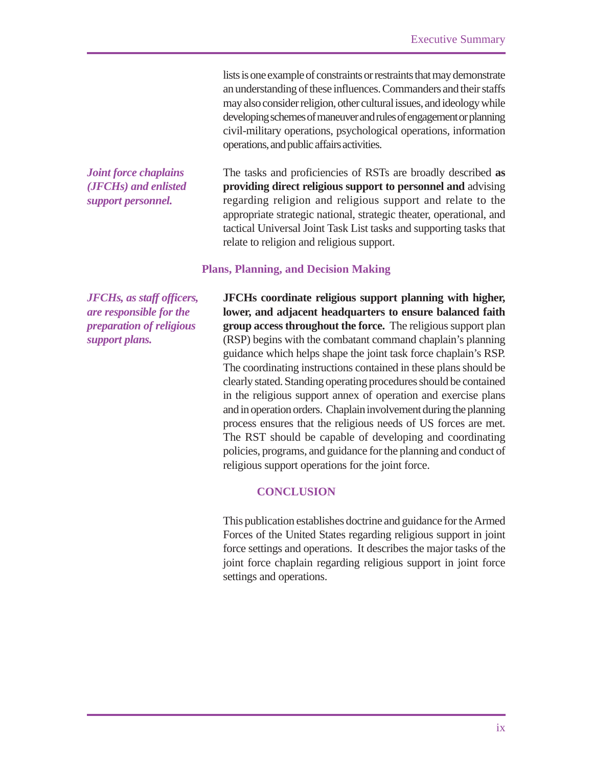lists is one example of constraints or restraints that may demonstrate an understanding of these influences. Commanders and their staffs may also consider religion, other cultural issues, and ideology while developing schemes of maneuver and rules of engagement or planning civil-military operations, psychological operations, information operations, and public affairs activities.

*Joint force chaplains (JFCHs) and enlisted support personnel.*

The tasks and proficiencies of RSTs are broadly described **as providing direct religious support to personnel and** advising regarding religion and religious support and relate to the appropriate strategic national, strategic theater, operational, and tactical Universal Joint Task List tasks and supporting tasks that relate to religion and religious support.

#### **Plans, Planning, and Decision Making**

*JFCHs, as staff officers, are responsible for the preparation of religious support plans.*

**JFCHs coordinate religious support planning with higher, lower, and adjacent headquarters to ensure balanced faith group access throughout the force.** The religious support plan (RSP) begins with the combatant command chaplain's planning guidance which helps shape the joint task force chaplain's RSP. The coordinating instructions contained in these plans should be clearly stated. Standing operating procedures should be contained in the religious support annex of operation and exercise plans and in operation orders. Chaplain involvement during the planning process ensures that the religious needs of US forces are met. The RST should be capable of developing and coordinating policies, programs, and guidance for the planning and conduct of religious support operations for the joint force.

#### **CONCLUSION**

This publication establishes doctrine and guidance for the Armed Forces of the United States regarding religious support in joint force settings and operations. It describes the major tasks of the joint force chaplain regarding religious support in joint force settings and operations.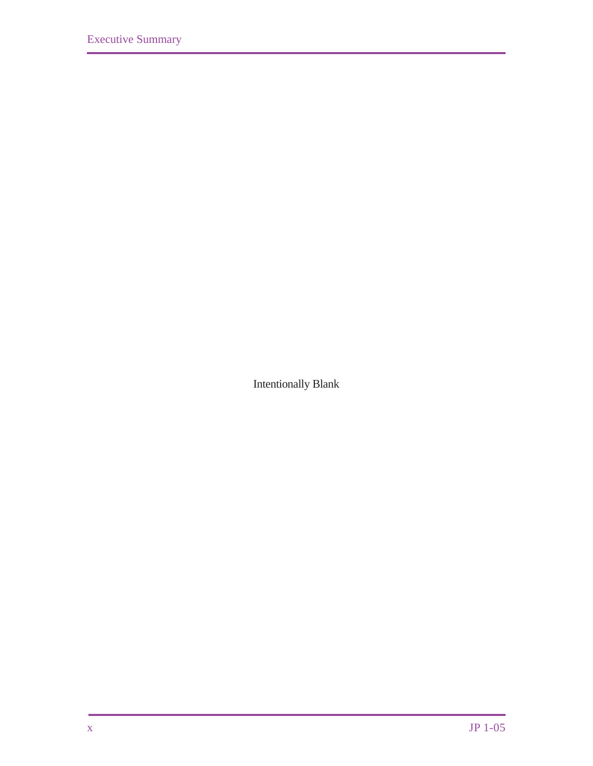Intentionally Blank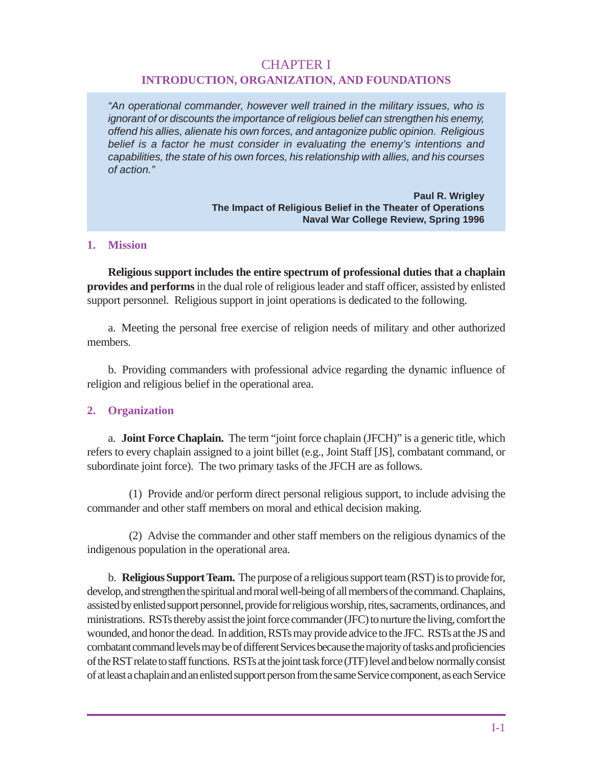# CHAPTER I **INTRODUCTION, ORGANIZATION, AND FOUNDATIONS**

<span id="page-11-0"></span>*"An operational commander, however well trained in the military issues, who is ignorant of or discounts the importance of religious belief can strengthen his enemy, offend his allies, alienate his own forces, and antagonize public opinion. Religious belief is a factor he must consider in evaluating the enemy's intentions and capabilities, the state of his own forces, his relationship with allies, and his courses of action."*

> **Paul R. Wrigley The Impact of Religious Belief in the Theater of Operations Naval War College Review, Spring 1996**

#### **1. Mission**

**Religious support includes the entire spectrum of professional duties that a chaplain provides and performs** in the dual role of religious leader and staff officer, assisted by enlisted support personnel. Religious support in joint operations is dedicated to the following.

a. Meeting the personal free exercise of religion needs of military and other authorized members.

b. Providing commanders with professional advice regarding the dynamic influence of religion and religious belief in the operational area.

## **2. Organization**

a. **Joint Force Chaplain.** The term "joint force chaplain (JFCH)" is a generic title, which refers to every chaplain assigned to a joint billet (e.g., Joint Staff [JS], combatant command, or subordinate joint force). The two primary tasks of the JFCH are as follows.

(1) Provide and/or perform direct personal religious support, to include advising the commander and other staff members on moral and ethical decision making.

(2) Advise the commander and other staff members on the religious dynamics of the indigenous population in the operational area.

b. **Religious Support Team.** The purpose of a religious support team (RST) is to provide for, develop, and strengthen the spiritual and moral well-being of all members of the command. Chaplains, assisted by enlisted support personnel, provide for religious worship, rites, sacraments, ordinances, and ministrations. RSTs thereby assist the joint force commander (JFC) to nurture the living, comfort the wounded, and honor the dead. In addition, RSTs may provide advice to the JFC. RSTs at the JS and combatant command levels may be of different Services because the majority of tasks and proficiencies of the RST relate to staff functions. RSTs at the joint task force (JTF) level and below normally consist of at least a chaplain and an enlisted support person from the same Service component, as each Service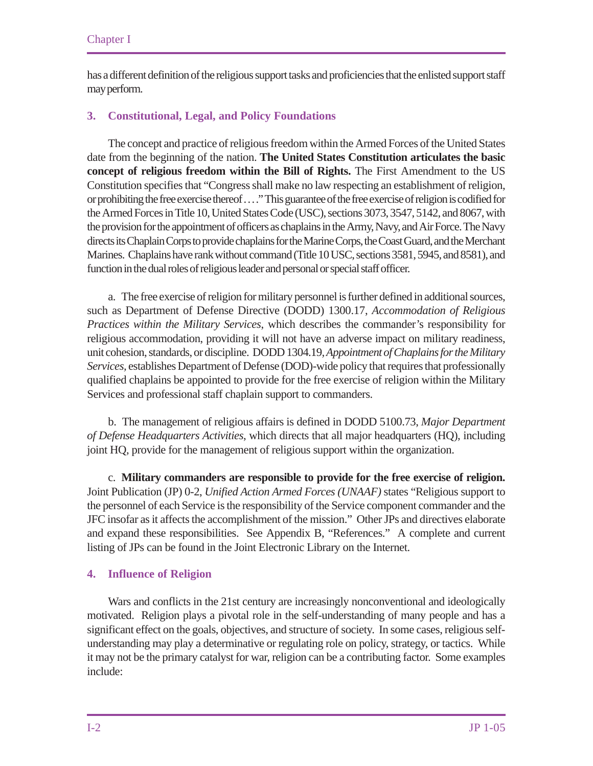<span id="page-12-0"></span>has a different definition of the religious support tasks and proficiencies that the enlisted support staff may perform.

# **3. Constitutional, Legal, and Policy Foundations**

The concept and practice of religious freedom within the Armed Forces of the United States date from the beginning of the nation. **The United States Constitution articulates the basic concept of religious freedom within the Bill of Rights.** The First Amendment to the US Constitution specifies that "Congress shall make no law respecting an establishment of religion, or prohibiting the free exercise thereof . . . ." This guarantee of the free exercise of religion is codified for the Armed Forces in Title 10, United States Code (USC), sections 3073, 3547, 5142, and 8067, with the provision for the appointment of officers as chaplains in the Army, Navy, and Air Force. The Navy directs its Chaplain Corps to provide chaplains for the Marine Corps, the Coast Guard, and the Merchant Marines. Chaplains have rank without command (Title 10 USC, sections 3581, 5945, and 8581), and function in the dual roles of religious leader and personal or special staff officer.

a. The free exercise of religion for military personnel is further defined in additional sources, such as Department of Defense Directive (DODD) 1300.17, *Accommodation of Religious Practices within the Military Services*, which describes the commander's responsibility for religious accommodation, providing it will not have an adverse impact on military readiness, unit cohesion, standards, or discipline. DODD 1304.19*, Appointment of Chaplains for the Military Services,* establishes Department of Defense (DOD)-wide policy that requires that professionally qualified chaplains be appointed to provide for the free exercise of religion within the Military Services and professional staff chaplain support to commanders.

b. The management of religious affairs is defined in DODD 5100.73, *Major Department of Defense Headquarters Activities*, which directs that all major headquarters (HQ), including joint HQ, provide for the management of religious support within the organization.

c. **Military commanders are responsible to provide for the free exercise of religion.** Joint Publication (JP) 0-2, *Unified Action Armed Forces (UNAAF)* states "Religious support to the personnel of each Service is the responsibility of the Service component commander and the JFC insofar as it affects the accomplishment of the mission." Other JPs and directives elaborate and expand these responsibilities. See Appendix B, "References." A complete and current listing of JPs can be found in the Joint Electronic Library on the Internet.

## **4. Influence of Religion**

Wars and conflicts in the 21st century are increasingly nonconventional and ideologically motivated. Religion plays a pivotal role in the self-understanding of many people and has a significant effect on the goals, objectives, and structure of society. In some cases, religious selfunderstanding may play a determinative or regulating role on policy, strategy, or tactics. While it may not be the primary catalyst for war, religion can be a contributing factor. Some examples include: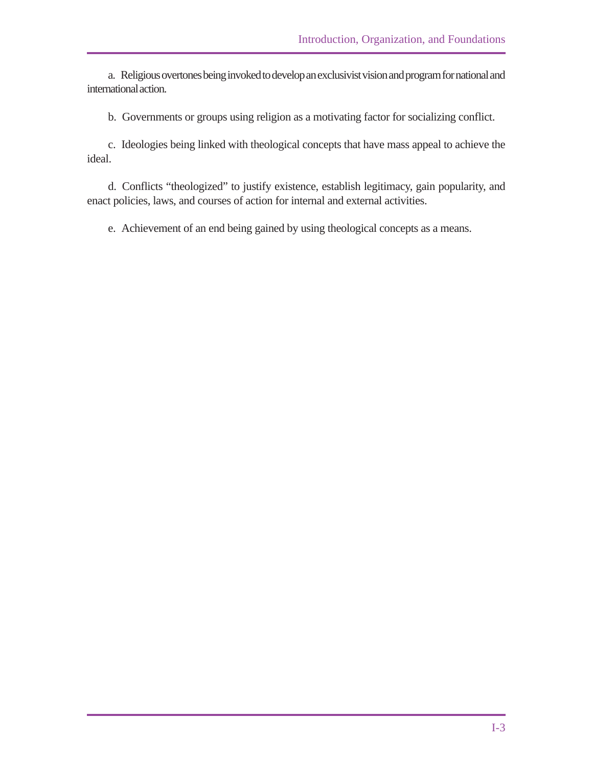a. Religious overtones being invoked to develop an exclusivist vision and program for national and international action.

b. Governments or groups using religion as a motivating factor for socializing conflict.

c. Ideologies being linked with theological concepts that have mass appeal to achieve the ideal.

d. Conflicts "theologized" to justify existence, establish legitimacy, gain popularity, and enact policies, laws, and courses of action for internal and external activities.

e. Achievement of an end being gained by using theological concepts as a means.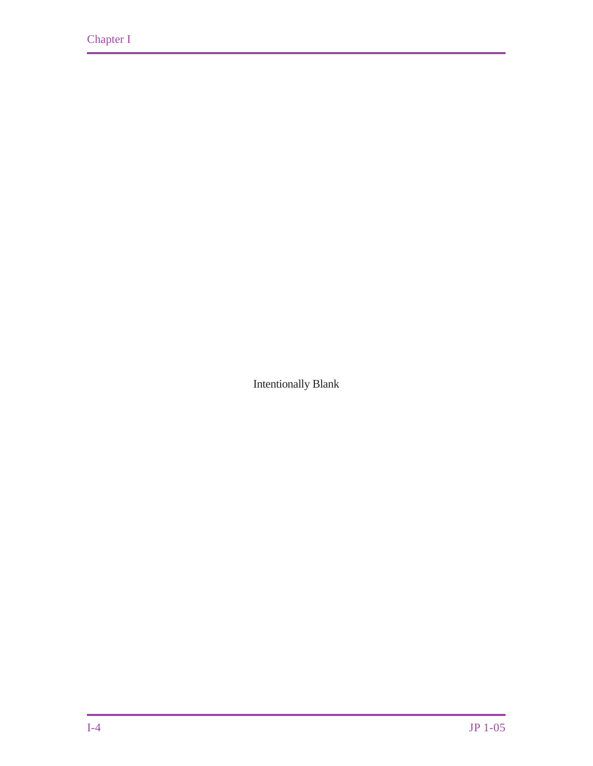Intentionally Blank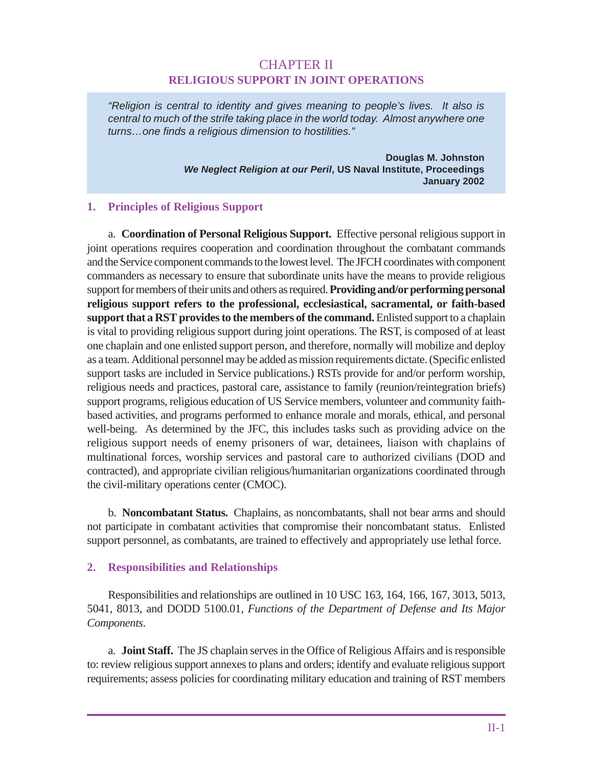# CHAPTER II **RELIGIOUS SUPPORT IN JOINT OPERATIONS**

<span id="page-15-0"></span>*"Religion is central to identity and gives meaning to people's lives. It also is central to much of the strife taking place in the world today. Almost anywhere one turns…one finds a religious dimension to hostilities."*

> **Douglas M. Johnston** *We Neglect Religion at our Peril***, US Naval Institute, Proceedings January 2002**

#### **1. Principles of Religious Support**

a. **Coordination of Personal Religious Support.** Effective personal religious support in joint operations requires cooperation and coordination throughout the combatant commands and the Service component commands to the lowest level. The JFCH coordinates with component commanders as necessary to ensure that subordinate units have the means to provide religious support for members of their units and others as required. **Providing and/or performing personal religious support refers to the professional, ecclesiastical, sacramental, or faith-based support that a RST provides to the members of the command.** Enlisted support to a chaplain is vital to providing religious support during joint operations. The RST, is composed of at least one chaplain and one enlisted support person, and therefore, normally will mobilize and deploy as a team. Additional personnel may be added as mission requirements dictate. (Specific enlisted support tasks are included in Service publications.) RSTs provide for and/or perform worship, religious needs and practices, pastoral care, assistance to family (reunion/reintegration briefs) support programs, religious education of US Service members, volunteer and community faithbased activities, and programs performed to enhance morale and morals, ethical, and personal well-being. As determined by the JFC, this includes tasks such as providing advice on the religious support needs of enemy prisoners of war, detainees, liaison with chaplains of multinational forces, worship services and pastoral care to authorized civilians (DOD and contracted), and appropriate civilian religious/humanitarian organizations coordinated through the civil-military operations center (CMOC).

b. **Noncombatant Status.** Chaplains, as noncombatants, shall not bear arms and should not participate in combatant activities that compromise their noncombatant status. Enlisted support personnel, as combatants, are trained to effectively and appropriately use lethal force.

## **2. Responsibilities and Relationships**

Responsibilities and relationships are outlined in 10 USC 163, 164, 166, 167, 3013, 5013, 5041, 8013, and DODD 5100.01, *Functions of the Department of Defense and Its Major Components*.

a. **Joint Staff.** The JS chaplain serves in the Office of Religious Affairs and is responsible to: review religious support annexes to plans and orders; identify and evaluate religious support requirements; assess policies for coordinating military education and training of RST members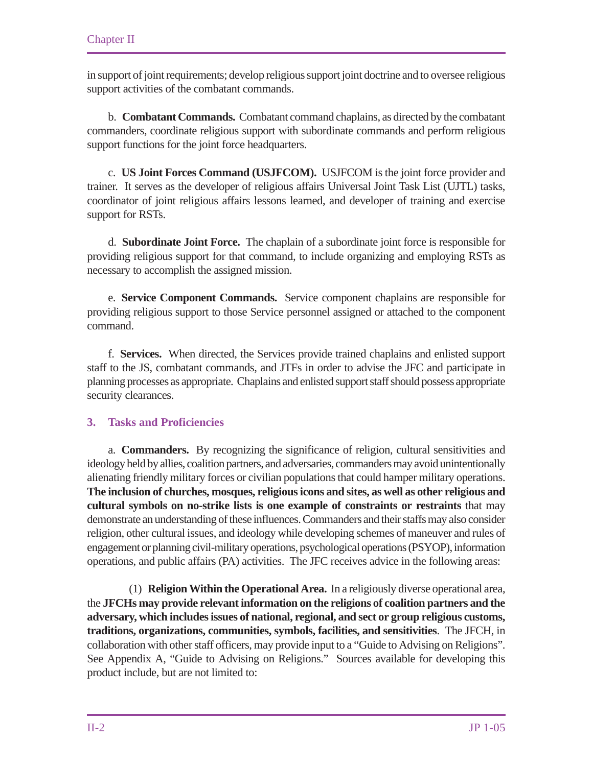<span id="page-16-0"></span>in support of joint requirements; develop religious support joint doctrine and to oversee religious support activities of the combatant commands.

b. **Combatant Commands.** Combatant command chaplains, as directed by the combatant commanders, coordinate religious support with subordinate commands and perform religious support functions for the joint force headquarters.

c. **US Joint Forces Command (USJFCOM).** USJFCOM is the joint force provider and trainer. It serves as the developer of religious affairs Universal Joint Task List (UJTL) tasks, coordinator of joint religious affairs lessons learned, and developer of training and exercise support for RSTs.

d. **Subordinate Joint Force.** The chaplain of a subordinate joint force is responsible for providing religious support for that command, to include organizing and employing RSTs as necessary to accomplish the assigned mission.

e. **Service Component Commands.** Service component chaplains are responsible for providing religious support to those Service personnel assigned or attached to the component command.

f. **Services.** When directed, the Services provide trained chaplains and enlisted support staff to the JS, combatant commands, and JTFs in order to advise the JFC and participate in planning processes as appropriate. Chaplains and enlisted support staff should possess appropriate security clearances.

# **3. Tasks and Proficiencies**

a. **Commanders.** By recognizing the significance of religion, cultural sensitivities and ideology held by allies, coalition partners, and adversaries, commanders may avoid unintentionally alienating friendly military forces or civilian populations that could hamper military operations. **The inclusion of churches, mosques, religious icons and sites, as well as other religious and cultural symbols on no-strike lists is one example of constraints or restraints** that may demonstrate an understanding of these influences. Commanders and their staffs may also consider religion, other cultural issues, and ideology while developing schemes of maneuver and rules of engagement or planning civil-military operations, psychological operations (PSYOP), information operations, and public affairs (PA) activities. The JFC receives advice in the following areas:

(1) **Religion Within the Operational Area.** In a religiously diverse operational area, the **JFCHs may provide relevant information on the religions of coalition partners and the adversary, which includes issues of national, regional, and sect or group religious customs, traditions, organizations, communities, symbols, facilities, and sensitivities**. The JFCH, in collaboration with other staff officers, may provide input to a "Guide to Advising on Religions". See Appendix A, "Guide to Advising on Religions." Sources available for developing this product include, but are not limited to: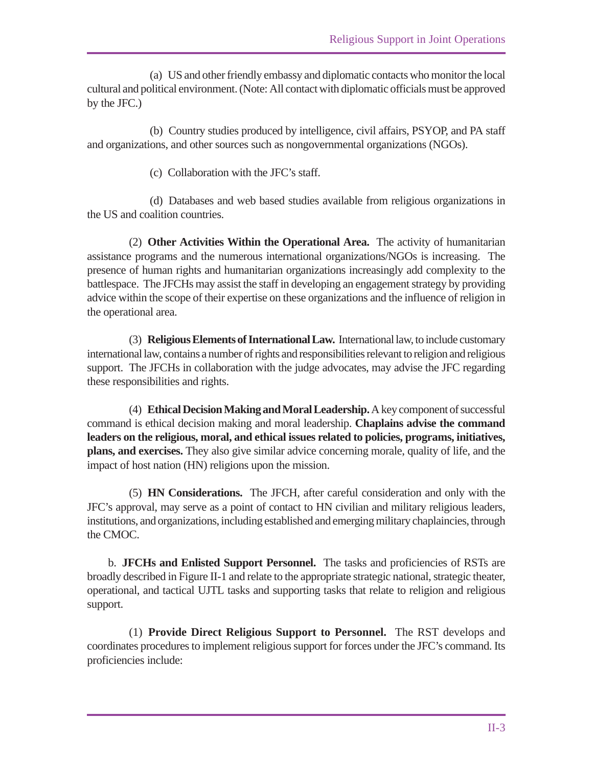(a) US and other friendly embassy and diplomatic contacts who monitor the local cultural and political environment. (Note: All contact with diplomatic officials must be approved by the JFC.)

(b) Country studies produced by intelligence, civil affairs, PSYOP, and PA staff and organizations, and other sources such as nongovernmental organizations (NGOs).

(c) Collaboration with the JFC's staff.

(d) Databases and web based studies available from religious organizations in the US and coalition countries.

(2) **Other Activities Within the Operational Area.** The activity of humanitarian assistance programs and the numerous international organizations/NGOs is increasing. The presence of human rights and humanitarian organizations increasingly add complexity to the battlespace. The JFCHs may assist the staff in developing an engagement strategy by providing advice within the scope of their expertise on these organizations and the influence of religion in the operational area.

(3) **Religious Elements of International Law.** International law, to include customary international law, contains a number of rights and responsibilities relevant to religion and religious support. The JFCHs in collaboration with the judge advocates, may advise the JFC regarding these responsibilities and rights.

(4) **Ethical Decision Making and Moral Leadership.** A key component of successful command is ethical decision making and moral leadership. **Chaplains advise the command leaders on the religious, moral, and ethical issues related to policies, programs, initiatives, plans, and exercises.** They also give similar advice concerning morale, quality of life, and the impact of host nation (HN) religions upon the mission.

(5) **HN Considerations.** The JFCH, after careful consideration and only with the JFC's approval, may serve as a point of contact to HN civilian and military religious leaders, institutions, and organizations, including established and emerging military chaplaincies, through the CMOC.

b. **JFCHs and Enlisted Support Personnel.** The tasks and proficiencies of RSTs are broadly described in Figure II-1 and relate to the appropriate strategic national, strategic theater, operational, and tactical UJTL tasks and supporting tasks that relate to religion and religious support.

(1) **Provide Direct Religious Support to Personnel.** The RST develops and coordinates procedures to implement religious support for forces under the JFC's command. Its proficiencies include: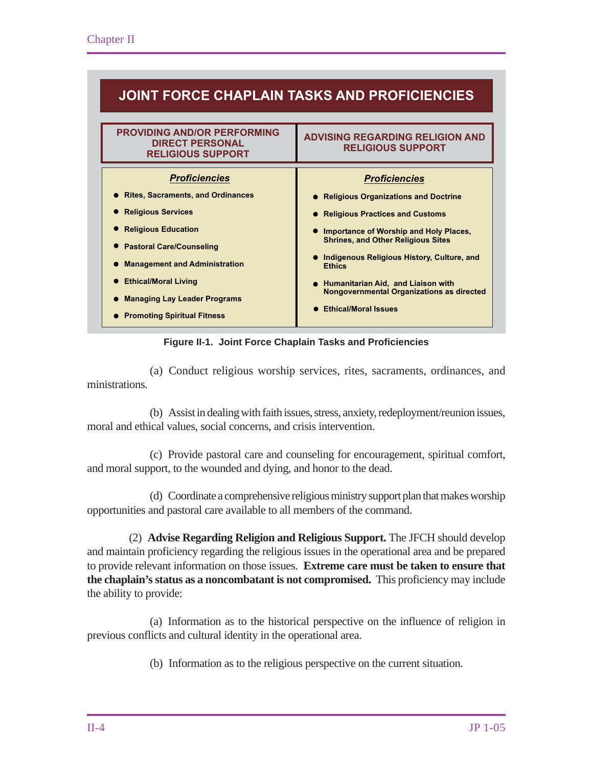<span id="page-18-0"></span>

| <b>JOINT FORCE CHAPLAIN TASKS AND PROFICIENCIES</b>                                                                                                                                                                                                                                                                |                                                                                                                                                                                                                                                                                                                                                                                              |  |
|--------------------------------------------------------------------------------------------------------------------------------------------------------------------------------------------------------------------------------------------------------------------------------------------------------------------|----------------------------------------------------------------------------------------------------------------------------------------------------------------------------------------------------------------------------------------------------------------------------------------------------------------------------------------------------------------------------------------------|--|
| <b>PROVIDING AND/OR PERFORMING</b><br><b>DIRECT PERSONAL</b><br><b>RELIGIOUS SUPPORT</b>                                                                                                                                                                                                                           | <b>ADVISING REGARDING RELIGION AND</b><br><b>RELIGIOUS SUPPORT</b>                                                                                                                                                                                                                                                                                                                           |  |
| <b>Proficiencies</b><br><b>Rites, Sacraments, and Ordinances</b><br><b>Religious Services</b><br><b>Religious Education</b><br><b>Pastoral Care/Counseling</b><br><b>Management and Administration</b><br><b>Ethical/Moral Living</b><br><b>Managing Lay Leader Programs</b><br><b>Promoting Spiritual Fitness</b> | <b>Proficiencies</b><br><b>Religious Organizations and Doctrine</b><br><b>Religious Practices and Customs</b><br>Importance of Worship and Holy Places,<br><b>Shrines, and Other Religious Sites</b><br>Indigenous Religious History, Culture, and<br><b>Ethics</b><br>Humanitarian Aid, and Liaison with<br><b>Nongovernmental Organizations as directed</b><br><b>Ethical/Moral Issues</b> |  |

**Figure II-1. Joint Force Chaplain Tasks and Proficiencies**

(a) Conduct religious worship services, rites, sacraments, ordinances, and ministrations.

(b) Assist in dealing with faith issues, stress, anxiety, redeployment/reunion issues, moral and ethical values, social concerns, and crisis intervention.

(c) Provide pastoral care and counseling for encouragement, spiritual comfort, and moral support, to the wounded and dying, and honor to the dead.

(d) Coordinate a comprehensive religious ministry support plan that makes worship opportunities and pastoral care available to all members of the command.

(2) **Advise Regarding Religion and Religious Support.** The JFCH should develop and maintain proficiency regarding the religious issues in the operational area and be prepared to provide relevant information on those issues. **Extreme care must be taken to ensure that the chaplain's status as a noncombatant is not compromised.** This proficiency may include the ability to provide:

(a) Information as to the historical perspective on the influence of religion in previous conflicts and cultural identity in the operational area.

(b) Information as to the religious perspective on the current situation.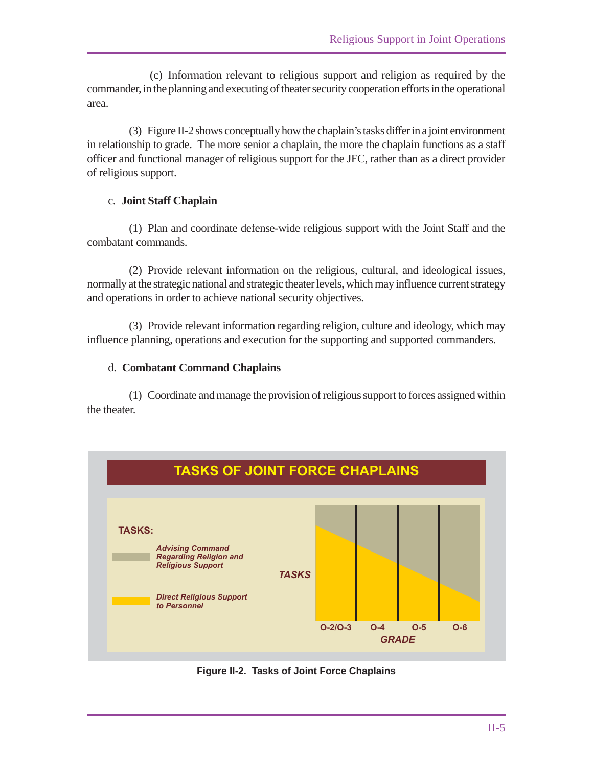<span id="page-19-0"></span>(c) Information relevant to religious support and religion as required by the commander, in the planning and executing of theater security cooperation efforts in the operational area.

(3) Figure II-2 shows conceptually how the chaplain's tasks differ in a joint environment in relationship to grade. The more senior a chaplain, the more the chaplain functions as a staff officer and functional manager of religious support for the JFC, rather than as a direct provider of religious support.

## c. **Joint Staff Chaplain**

(1) Plan and coordinate defense-wide religious support with the Joint Staff and the combatant commands.

(2) Provide relevant information on the religious, cultural, and ideological issues, normally at the strategic national and strategic theater levels, which may influence current strategy and operations in order to achieve national security objectives.

(3) Provide relevant information regarding religion, culture and ideology, which may influence planning, operations and execution for the supporting and supported commanders.

# d. **Combatant Command Chaplains**

(1) Coordinate and manage the provision of religious support to forces assigned within the theater.



**Figure II-2. Tasks of Joint Force Chaplains**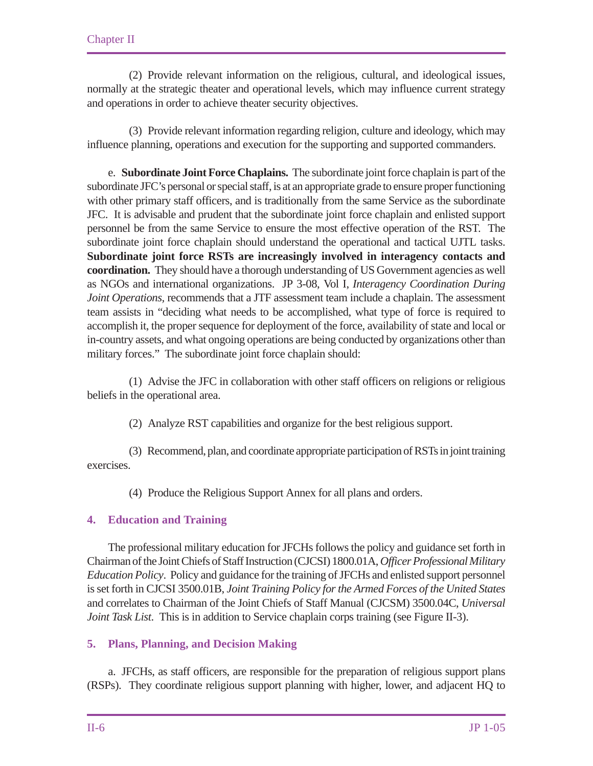<span id="page-20-0"></span>(2) Provide relevant information on the religious, cultural, and ideological issues, normally at the strategic theater and operational levels, which may influence current strategy and operations in order to achieve theater security objectives.

(3) Provide relevant information regarding religion, culture and ideology, which may influence planning, operations and execution for the supporting and supported commanders.

e. **Subordinate Joint Force Chaplains.** The subordinate joint force chaplain is part of the subordinate JFC's personal or special staff, is at an appropriate grade to ensure proper functioning with other primary staff officers, and is traditionally from the same Service as the subordinate JFC. It is advisable and prudent that the subordinate joint force chaplain and enlisted support personnel be from the same Service to ensure the most effective operation of the RST. The subordinate joint force chaplain should understand the operational and tactical UJTL tasks. **Subordinate joint force RSTs are increasingly involved in interagency contacts and coordination.** They should have a thorough understanding of US Government agencies as well as NGOs and international organizations. JP 3-08, Vol I, *Interagency Coordination During Joint Operations,* recommends that a JTF assessment team include a chaplain. The assessment team assists in "deciding what needs to be accomplished, what type of force is required to accomplish it, the proper sequence for deployment of the force, availability of state and local or in-country assets, and what ongoing operations are being conducted by organizations other than military forces." The subordinate joint force chaplain should:

(1) Advise the JFC in collaboration with other staff officers on religions or religious beliefs in the operational area.

(2) Analyze RST capabilities and organize for the best religious support.

(3) Recommend, plan, and coordinate appropriate participation of RSTs in joint training exercises.

(4) Produce the Religious Support Annex for all plans and orders.

# **4. Education and Training**

The professional military education for JFCHs follows the policy and guidance set forth in Chairman of the Joint Chiefs of Staff Instruction (CJCSI) 1800.01A, *Officer Professional Military Education Policy*. Policy and guidance for the training of JFCHs and enlisted support personnel is set forth in CJCSI 3500.01B, *Joint Training Policy for the Armed Forces of the United States* and correlates to Chairman of the Joint Chiefs of Staff Manual (CJCSM) 3500.04C, *Universal Joint Task List*. This is in addition to Service chaplain corps training (see Figure II-3).

# **5. Plans, Planning, and Decision Making**

a. JFCHs, as staff officers, are responsible for the preparation of religious support plans (RSPs). They coordinate religious support planning with higher, lower, and adjacent HQ to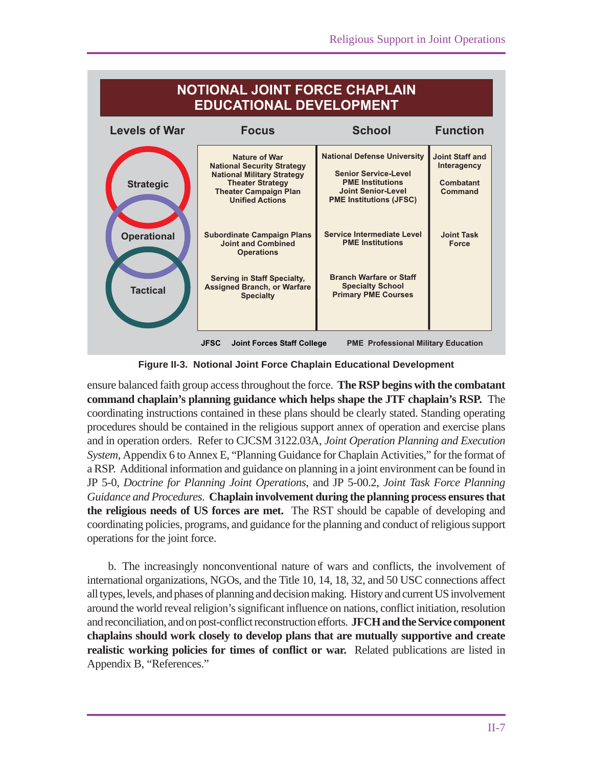<span id="page-21-0"></span>

**Figure II-3. Notional Joint Force Chaplain Educational Development**

ensure balanced faith group access throughout the force. **The RSP begins with the combatant command chaplain's planning guidance which helps shape the JTF chaplain's RSP.** The coordinating instructions contained in these plans should be clearly stated. Standing operating procedures should be contained in the religious support annex of operation and exercise plans and in operation orders. Refer to CJCSM 3122.03A, *Joint Operation Planning and Execution System*, Appendix 6 to Annex E, "Planning Guidance for Chaplain Activities," for the format of a RSP. Additional information and guidance on planning in a joint environment can be found in JP 5-0, *Doctrine for Planning Joint Operations*, and JP 5-00.2, *Joint Task Force Planning Guidance and Procedures*. **Chaplain involvement during the planning process ensures that the religious needs of US forces are met.** The RST should be capable of developing and coordinating policies, programs, and guidance for the planning and conduct of religious support operations for the joint force.

b. The increasingly nonconventional nature of wars and conflicts, the involvement of international organizations, NGOs, and the Title 10, 14, 18, 32, and 50 USC connections affect all types, levels, and phases of planning and decision making. History and current US involvement around the world reveal religion's significant influence on nations, conflict initiation, resolution and reconciliation, and on post-conflict reconstruction efforts. **JFCH and the Service component chaplains should work closely to develop plans that are mutually supportive and create realistic working policies for times of conflict or war.** Related publications are listed in Appendix B, "References."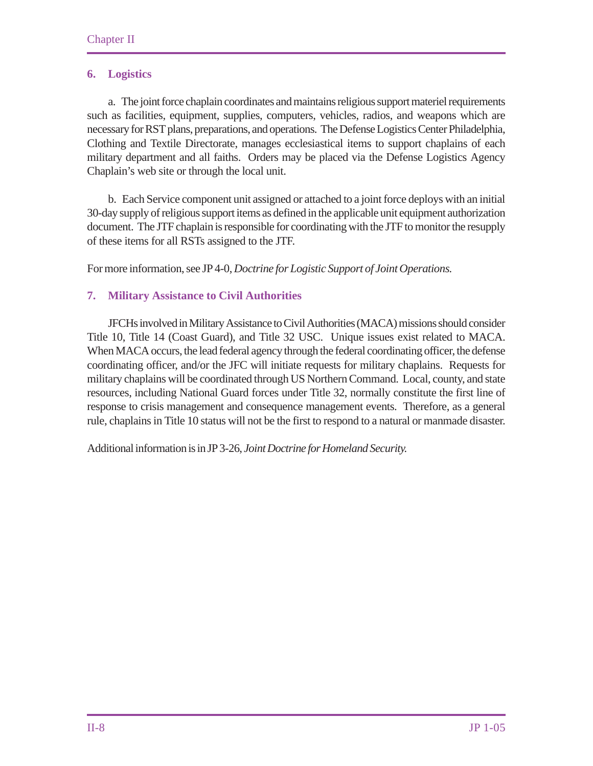# <span id="page-22-0"></span>**6. Logistics**

a. The joint force chaplain coordinates and maintains religious support materiel requirements such as facilities, equipment, supplies, computers, vehicles, radios, and weapons which are necessary for RST plans, preparations, and operations. The Defense Logistics Center Philadelphia, Clothing and Textile Directorate, manages ecclesiastical items to support chaplains of each military department and all faiths. Orders may be placed via the Defense Logistics Agency Chaplain's web site or through the local unit.

b. Each Service component unit assigned or attached to a joint force deploys with an initial 30-day supply of religious support items as defined in the applicable unit equipment authorization document. The JTF chaplain is responsible for coordinating with the JTF to monitor the resupply of these items for all RSTs assigned to the JTF.

For more information, see JP 4-0, *Doctrine for Logistic Support of Joint Operations.*

# **7. Military Assistance to Civil Authorities**

JFCHs involved in Military Assistance to Civil Authorities (MACA) missions should consider Title 10, Title 14 (Coast Guard), and Title 32 USC. Unique issues exist related to MACA. When MACA occurs, the lead federal agency through the federal coordinating officer, the defense coordinating officer, and/or the JFC will initiate requests for military chaplains. Requests for military chaplains will be coordinated through US Northern Command. Local, county, and state resources, including National Guard forces under Title 32, normally constitute the first line of response to crisis management and consequence management events. Therefore, as a general rule, chaplains in Title 10 status will not be the first to respond to a natural or manmade disaster.

Additional information is in JP 3-26, *Joint Doctrine for Homeland Security.*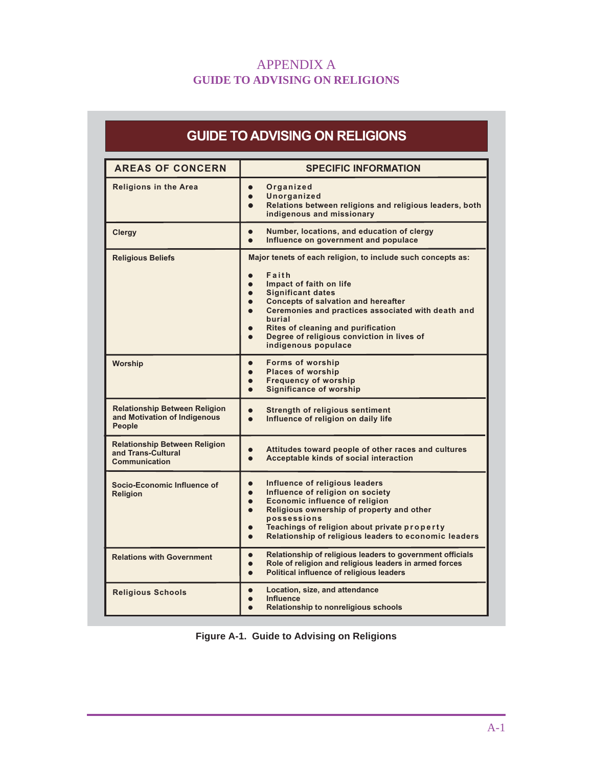# APPENDIX A **GUIDE TO ADVISING ON RELIGIONS**

| <b>GUIDE TO ADVISING ON RELIGIONS</b> |  |
|---------------------------------------|--|
|                                       |  |

<span id="page-23-0"></span>

| <b>AREAS OF CONCERN</b>                                                        | <b>SPECIFIC INFORMATION</b>                                                                                                                                                                                                                                                                                                                                    |
|--------------------------------------------------------------------------------|----------------------------------------------------------------------------------------------------------------------------------------------------------------------------------------------------------------------------------------------------------------------------------------------------------------------------------------------------------------|
| <b>Religions in the Area</b>                                                   | Organized<br>$\bullet$<br>Unorganized<br>$\bullet$<br>Relations between religions and religious leaders, both<br>indigenous and missionary                                                                                                                                                                                                                     |
| <b>Clergy</b>                                                                  | Number, locations, and education of clergy<br>$\bullet$<br>Influence on government and populace<br>$\bullet$                                                                                                                                                                                                                                                   |
| <b>Religious Beliefs</b>                                                       | Major tenets of each religion, to include such concepts as:                                                                                                                                                                                                                                                                                                    |
|                                                                                | Faith<br>$\bullet$<br>Impact of faith on life<br>$\bullet$<br><b>Significant dates</b><br>$\bullet$<br><b>Concepts of salvation and hereafter</b><br>$\bullet$<br>Ceremonies and practices associated with death and<br>burial<br>Rites of cleaning and purification<br>Degree of religious conviction in lives of<br>indigenous populace                      |
| <b>Worship</b>                                                                 | <b>Forms of worship</b><br>$\bullet$<br><b>Places of worship</b><br><b>Frequency of worship</b><br>$\bullet$<br><b>Significance of worship</b><br>$\bullet$                                                                                                                                                                                                    |
| <b>Relationship Between Religion</b><br>and Motivation of Indigenous<br>People | <b>Strength of religious sentiment</b><br>$\bullet$<br>Influence of religion on daily life<br>$\bullet$                                                                                                                                                                                                                                                        |
| <b>Relationship Between Religion</b><br>and Trans-Cultural<br>Communication    | Attitudes toward people of other races and cultures<br>$\bullet$<br>Acceptable kinds of social interaction<br>$\bullet$                                                                                                                                                                                                                                        |
| Socio-Economic Influence of<br><b>Religion</b>                                 | Influence of religious leaders<br>$\bullet$<br>Influence of religion on society<br>$\bullet$<br><b>Economic influence of religion</b><br>$\bullet$<br>Religious ownership of property and other<br>$\bullet$<br>possessions<br>Teachings of religion about private property<br>$\bullet$<br>Relationship of religious leaders to economic leaders<br>$\bullet$ |
| <b>Relations with Government</b>                                               | Relationship of religious leaders to government officials<br>$\bullet$<br>Role of religion and religious leaders in armed forces<br><b>Political influence of religious leaders</b><br>$\bullet$                                                                                                                                                               |
| <b>Religious Schools</b>                                                       | Location, size, and attendance<br>$\bullet$<br><b>Influence</b><br>Relationship to nonreligious schools                                                                                                                                                                                                                                                        |

**Figure A-1. Guide to Advising on Religions**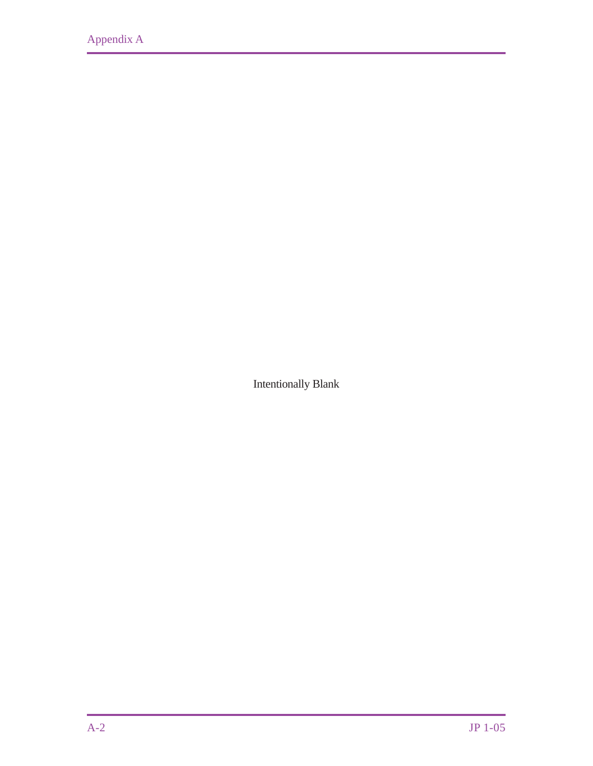Intentionally Blank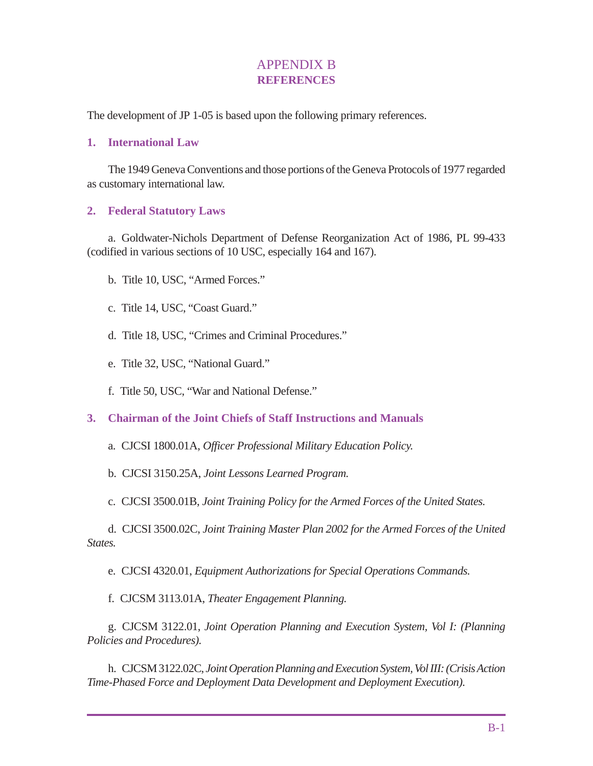# APPENDIX B **REFERENCES**

<span id="page-25-0"></span>The development of JP 1-05 is based upon the following primary references.

#### **1. International Law**

The 1949 Geneva Conventions and those portions of the Geneva Protocols of 1977 regarded as customary international law.

## **2. Federal Statutory Laws**

a. Goldwater-Nichols Department of Defense Reorganization Act of 1986, PL 99-433 (codified in various sections of 10 USC, especially 164 and 167).

b. Title 10, USC, "Armed Forces."

- c. Title 14, USC, "Coast Guard."
- d. Title 18, USC, "Crimes and Criminal Procedures."
- e. Title 32, USC, "National Guard."
- f. Title 50, USC, "War and National Defense."

## **3. Chairman of the Joint Chiefs of Staff Instructions and Manuals**

a. CJCSI 1800.01A, *Officer Professional Military Education Policy.*

b. CJCSI 3150.25A, *Joint Lessons Learned Program.*

c. CJCSI 3500.01B, *Joint Training Policy for the Armed Forces of the United States.*

d. CJCSI 3500.02C, *Joint Training Master Plan 2002 for the Armed Forces of the United States.*

e. CJCSI 4320.01, *Equipment Authorizations for Special Operations Commands.*

f. CJCSM 3113.01A, *Theater Engagement Planning.*

g. CJCSM 3122.01, *Joint Operation Planning and Execution System, Vol I: (Planning Policies and Procedures).*

h. CJCSM 3122.02C, *Joint Operation Planning and Execution System, Vol III: (Crisis Action Time-Phased Force and Deployment Data Development and Deployment Execution).*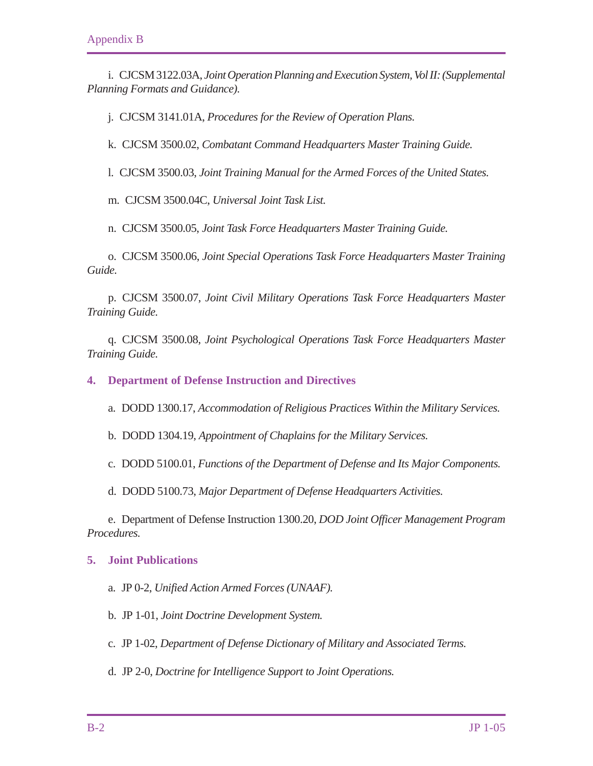i. CJCSM 3122.03A, *Joint Operation Planning and Execution System, Vol II: (Supplemental Planning Formats and Guidance).*

j. CJCSM 3141.01A, *Procedures for the Review of Operation Plans.*

k. CJCSM 3500.02, *Combatant Command Headquarters Master Training Guide.*

l. CJCSM 3500.03, *Joint Training Manual for the Armed Forces of the United States.*

m. CJCSM 3500.04C, *Universal Joint Task List.*

n. CJCSM 3500.05, *Joint Task Force Headquarters Master Training Guide.*

o. CJCSM 3500.06, *Joint Special Operations Task Force Headquarters Master Training Guide.*

p. CJCSM 3500.07, *Joint Civil Military Operations Task Force Headquarters Master Training Guide.*

q. CJCSM 3500.08, *Joint Psychological Operations Task Force Headquarters Master Training Guide.*

**4. Department of Defense Instruction and Directives**

a. DODD 1300.17, *Accommodation of Religious Practices Within the Military Services.*

b. DODD 1304.19, *Appointment of Chaplains for the Military Services.*

c. DODD 5100.01, *Functions of the Department of Defense and Its Major Components.*

d. DODD 5100.73, *Major Department of Defense Headquarters Activities.*

e. Department of Defense Instruction 1300.20, *DOD Joint Officer Management Program Procedures.*

## **5. Joint Publications**

a. JP 0-2, *Unified Action Armed Forces (UNAAF).*

b. JP 1-01, *Joint Doctrine Development System.*

c. JP 1-02, *Department of Defense Dictionary of Military and Associated Terms.*

d. JP 2-0, *Doctrine for Intelligence Support to Joint Operations.*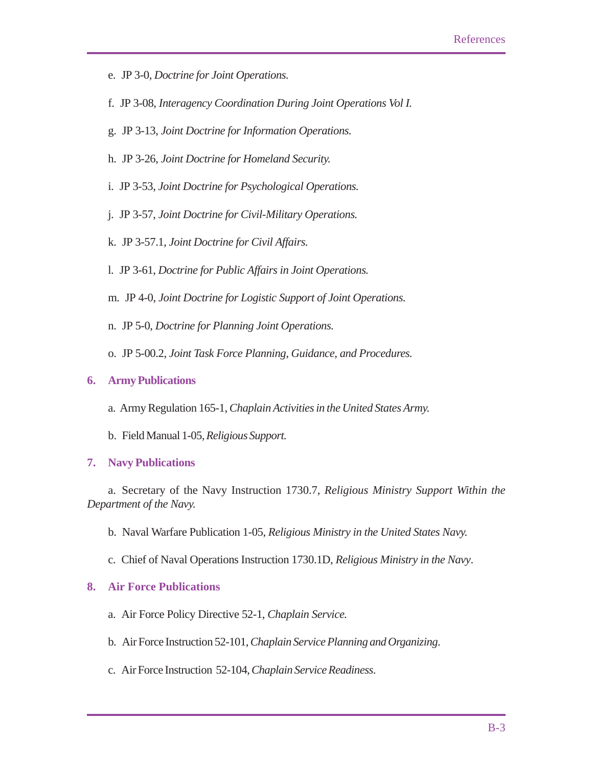- e. JP 3-0, *Doctrine for Joint Operations.*
- f. JP 3-08, *Interagency Coordination During Joint Operations Vol I.*
- g. JP 3-13, *Joint Doctrine for Information Operations.*
- h. JP 3-26, *Joint Doctrine for Homeland Security.*
- i. JP 3-53, *Joint Doctrine for Psychological Operations.*
- j. JP 3-57, *Joint Doctrine for Civil-Military Operations.*
- k. JP 3-57.1, *Joint Doctrine for Civil Affairs.*
- l. JP 3-61, *Doctrine for Public Affairs in Joint Operations.*
- m. JP 4-0, *Joint Doctrine for Logistic Support of Joint Operations.*
- n. JP 5-0, *Doctrine for Planning Joint Operations.*
- o. JP 5-00.2, *Joint Task Force Planning, Guidance, and Procedures.*

#### **6. Army Publications**

- a. Army Regulation 165-1, *Chaplain Activities in the United States Army.*
- b. Field Manual 1-05*, Religious Support.*

#### **7. Navy Publications**

a. Secretary of the Navy Instruction 1730.7, *Religious Ministry Support Within the Department of the Navy.*

- b. Naval Warfare Publication 1-05, *Religious Ministry in the United States Navy.*
- c. Chief of Naval Operations Instruction 1730.1D, *Religious Ministry in the Navy*.

#### **8. Air Force Publications**

- a. Air Force Policy Directive 52-1, *Chaplain Service.*
- b. Air Force Instruction 52-101, *Chaplain Service Planning and Organizing*.
- c. Air Force Instruction 52-104, *Chaplain Service Readiness*.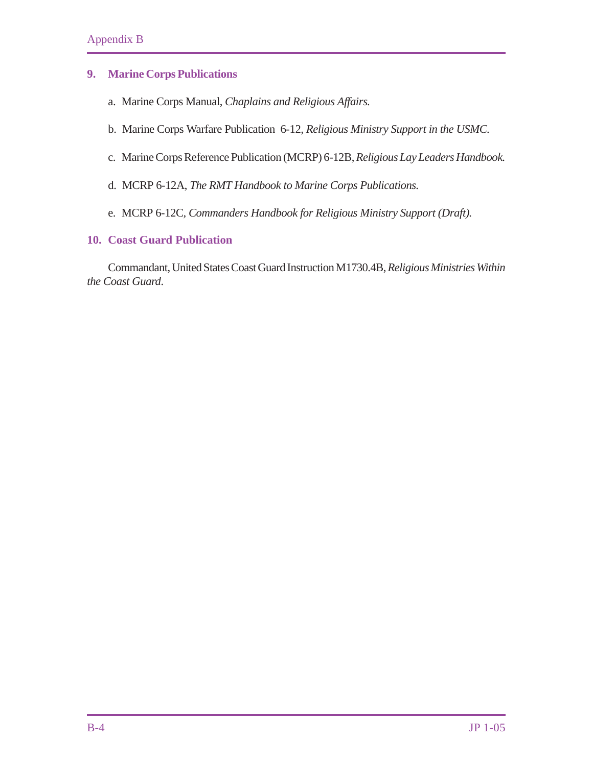## **9. Marine Corps Publications**

- a. Marine Corps Manual, *Chaplains and Religious Affairs.*
- b. Marine Corps Warfare Publication 6-12*, Religious Ministry Support in the USMC.*
- c. Marine Corps Reference Publication (MCRP) 6-12B, *Religious Lay Leaders Handbook.*
- d. MCRP 6-12A, *The RMT Handbook to Marine Corps Publications.*
- e. MCRP 6-12C*, Commanders Handbook for Religious Ministry Support (Draft).*

#### **10. Coast Guard Publication**

Commandant, United States Coast Guard Instruction M1730.4B, *Religious Ministries Within the Coast Guard*.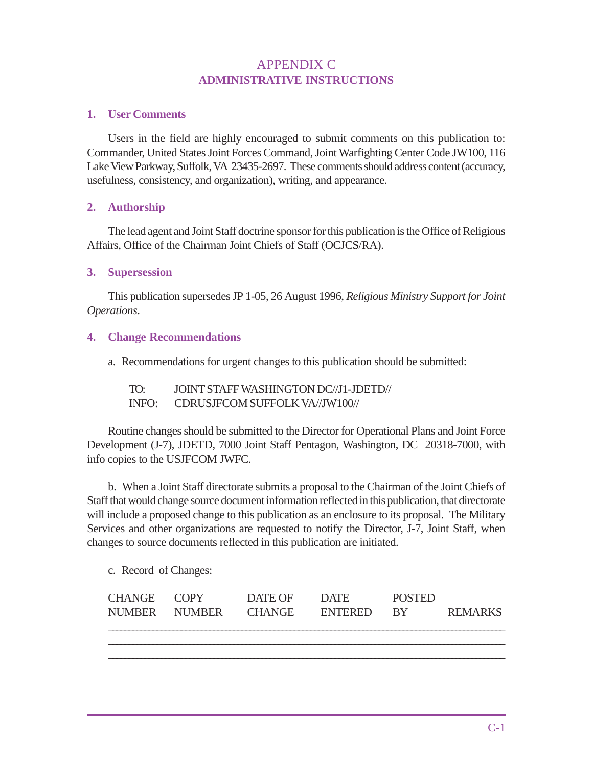# APPENDIX C **ADMINISTRATIVE INSTRUCTIONS**

#### <span id="page-29-0"></span>**1. User Comments**

Users in the field are highly encouraged to submit comments on this publication to: Commander, United States Joint Forces Command, Joint Warfighting Center Code JW100, 116 Lake View Parkway, Suffolk, VA 23435-2697. These comments should address content (accuracy, usefulness, consistency, and organization), writing, and appearance.

#### **2. Authorship**

The lead agent and Joint Staff doctrine sponsor for this publication is the Office of Religious Affairs, Office of the Chairman Joint Chiefs of Staff (OCJCS/RA).

#### **3. Supersession**

This publication supersedes JP 1-05, 26 August 1996, *Religious Ministry Support for Joint Operations*.

#### **4. Change Recommendations**

a. Recommendations for urgent changes to this publication should be submitted:

TO: JOINT STAFF WASHINGTON DC//J1-JDETD// INFO: CDRUSJFCOM SUFFOLK VA//JW100//

Routine changes should be submitted to the Director for Operational Plans and Joint Force Development (J-7), JDETD, 7000 Joint Staff Pentagon, Washington, DC 20318-7000, with info copies to the USJFCOM JWFC.

b. When a Joint Staff directorate submits a proposal to the Chairman of the Joint Chiefs of Staff that would change source document information reflected in this publication, that directorate will include a proposed change to this publication as an enclosure to its proposal. The Military Services and other organizations are requested to notify the Director, J-7, Joint Staff, when changes to source documents reflected in this publication are initiated.

c. Record of Changes:

| CHANGE COPY | DATE OF | DATE<br>NUMBER NUMBER CHANGE ENTERED BY | <b>POSTED</b> | <b>REMARKS</b> |
|-------------|---------|-----------------------------------------|---------------|----------------|
|             |         |                                         |               |                |

\_\_\_\_\_\_\_\_\_\_\_\_\_\_\_\_\_\_\_\_\_\_\_\_\_\_\_\_\_\_\_\_\_\_\_\_\_\_\_\_\_\_\_\_\_\_\_\_\_\_\_\_\_\_\_\_\_\_\_\_\_\_\_\_\_\_\_\_\_\_\_\_\_\_\_\_\_\_\_\_\_\_\_\_\_\_\_\_\_\_\_\_\_\_\_\_\_\_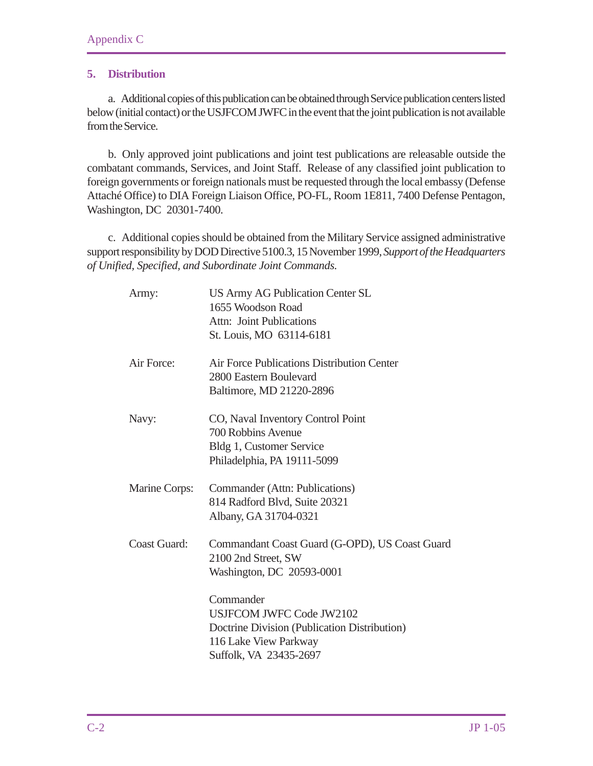## **5. Distribution**

a. Additional copies of this publication can be obtained through Service publication centers listed below (initial contact) or the USJFCOM JWFC in the event that the joint publication is not available from the Service.

b. Only approved joint publications and joint test publications are releasable outside the combatant commands, Services, and Joint Staff. Release of any classified joint publication to foreign governments or foreign nationals must be requested through the local embassy (Defense Attaché Office) to DIA Foreign Liaison Office, PO-FL, Room 1E811, 7400 Defense Pentagon, Washington, DC 20301-7400.

c. Additional copies should be obtained from the Military Service assigned administrative support responsibility by DOD Directive 5100.3, 15 November 1999, *Support of the Headquarters of Unified, Specified, and Subordinate Joint Commands*.

| Army:               | US Army AG Publication Center SL<br>1655 Woodson Road<br><b>Attn:</b> Joint Publications<br>St. Louis, MO 63114-6181                            |
|---------------------|-------------------------------------------------------------------------------------------------------------------------------------------------|
| Air Force:          | <b>Air Force Publications Distribution Center</b><br>2800 Eastern Boulevard<br>Baltimore, MD 21220-2896                                         |
| Navy:               | CO, Naval Inventory Control Point<br>700 Robbins Avenue<br>Bldg 1, Customer Service<br>Philadelphia, PA 19111-5099                              |
| Marine Corps:       | Commander (Attn: Publications)<br>814 Radford Blvd, Suite 20321<br>Albany, GA 31704-0321                                                        |
| <b>Coast Guard:</b> | Commandant Coast Guard (G-OPD), US Coast Guard<br>2100 2nd Street, SW<br>Washington, DC 20593-0001                                              |
|                     | Commander<br><b>USJFCOM JWFC Code JW2102</b><br>Doctrine Division (Publication Distribution)<br>116 Lake View Parkway<br>Suffolk, VA 23435-2697 |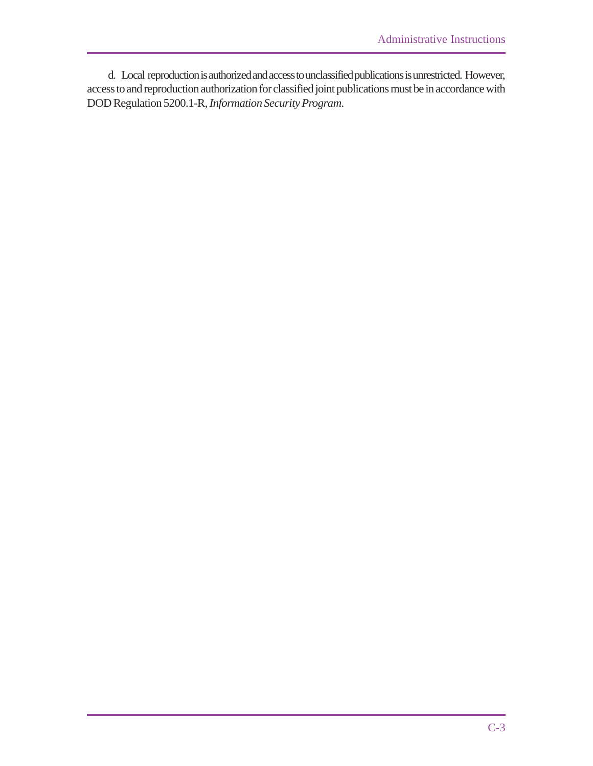d. Local reproduction is authorized and access to unclassified publications is unrestricted. However, access to and reproduction authorization for classified joint publications must be in accordance with DOD Regulation 5200.1-R, *Information Security Program*.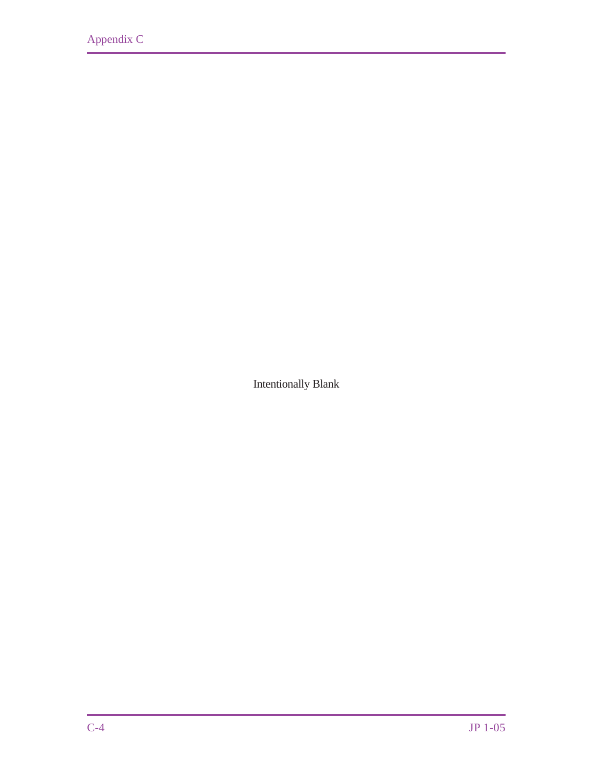Intentionally Blank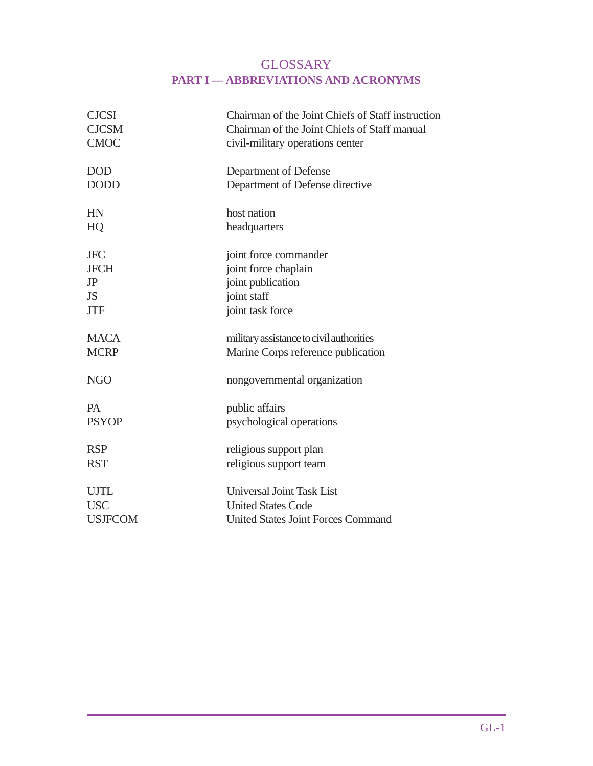# GLOSSARY **PART I — ABBREVIATIONS AND ACRONYMS**

<span id="page-33-0"></span>

| <b>CJCSI</b><br><b>CJCSM</b><br><b>CMOC</b> | Chairman of the Joint Chiefs of Staff instruction<br>Chairman of the Joint Chiefs of Staff manual<br>civil-military operations center |
|---------------------------------------------|---------------------------------------------------------------------------------------------------------------------------------------|
| <b>DOD</b>                                  | Department of Defense                                                                                                                 |
| <b>DODD</b>                                 | Department of Defense directive                                                                                                       |
| HN                                          | host nation                                                                                                                           |
| HQ                                          | headquarters                                                                                                                          |
| <b>JFC</b>                                  | joint force commander                                                                                                                 |
| <b>JFCH</b>                                 | joint force chaplain                                                                                                                  |
| <b>JP</b>                                   | joint publication                                                                                                                     |
| <b>JS</b>                                   | joint staff                                                                                                                           |
| <b>JTF</b>                                  | joint task force                                                                                                                      |
| <b>MACA</b>                                 | military assistance to civil authorities                                                                                              |
| <b>MCRP</b>                                 | Marine Corps reference publication                                                                                                    |
| <b>NGO</b>                                  | nongovernmental organization                                                                                                          |
| <b>PA</b>                                   | public affairs                                                                                                                        |
| <b>PSYOP</b>                                | psychological operations                                                                                                              |
| <b>RSP</b>                                  | religious support plan                                                                                                                |
| <b>RST</b>                                  | religious support team                                                                                                                |
| <b>UJTL</b>                                 | Universal Joint Task List                                                                                                             |
| <b>USC</b>                                  | <b>United States Code</b>                                                                                                             |
| <b>USJFCOM</b>                              | <b>United States Joint Forces Command</b>                                                                                             |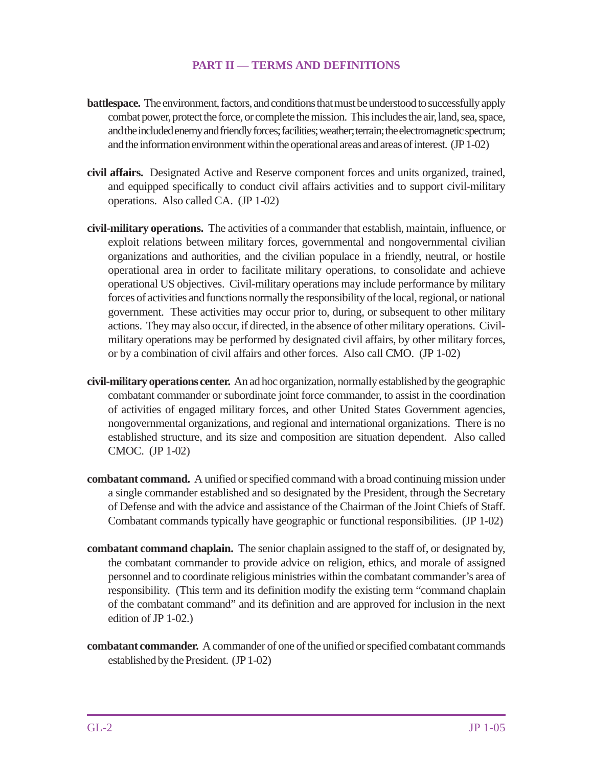#### **PART II — TERMS AND DEFINITIONS**

- <span id="page-34-0"></span>**battlespace.** The environment, factors, and conditions that must be understood to successfully apply combat power, protect the force, or complete the mission. This includes the air, land, sea, space, and the included enemy and friendly forces; facilities; weather; terrain; the electromagnetic spectrum; and the information environment within the operational areas and areas of interest. (JP 1-02)
- **civil affairs.** Designated Active and Reserve component forces and units organized, trained, and equipped specifically to conduct civil affairs activities and to support civil-military operations. Also called CA. (JP 1-02)
- **civil-military operations.** The activities of a commander that establish, maintain, influence, or exploit relations between military forces, governmental and nongovernmental civilian organizations and authorities, and the civilian populace in a friendly, neutral, or hostile operational area in order to facilitate military operations, to consolidate and achieve operational US objectives. Civil-military operations may include performance by military forces of activities and functions normally the responsibility of the local, regional, or national government. These activities may occur prior to, during, or subsequent to other military actions. They may also occur, if directed, in the absence of other military operations. Civilmilitary operations may be performed by designated civil affairs, by other military forces, or by a combination of civil affairs and other forces. Also call CMO. (JP 1-02)
- **civil-military operations center.** An ad hoc organization, normally established by the geographic combatant commander or subordinate joint force commander, to assist in the coordination of activities of engaged military forces, and other United States Government agencies, nongovernmental organizations, and regional and international organizations. There is no established structure, and its size and composition are situation dependent. Also called CMOC. (JP 1-02)
- **combatant command.** A unified or specified command with a broad continuing mission under a single commander established and so designated by the President, through the Secretary of Defense and with the advice and assistance of the Chairman of the Joint Chiefs of Staff. Combatant commands typically have geographic or functional responsibilities. (JP 1-02)
- **combatant command chaplain.** The senior chaplain assigned to the staff of, or designated by, the combatant commander to provide advice on religion, ethics, and morale of assigned personnel and to coordinate religious ministries within the combatant commander's area of responsibility. (This term and its definition modify the existing term "command chaplain of the combatant command" and its definition and are approved for inclusion in the next edition of JP 1-02.)
- **combatant commander.** A commander of one of the unified or specified combatant commands established by the President. (JP 1-02)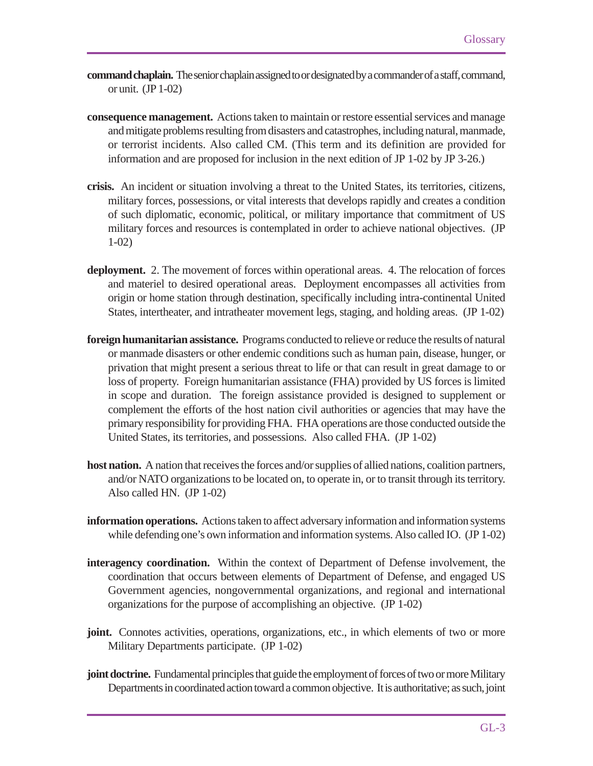- **command chaplain.** The senior chaplain assigned to or designated by a commander of a staff, command, or unit. (JP 1-02)
- **consequence management.** Actions taken to maintain or restore essential services and manage and mitigate problems resulting from disasters and catastrophes, including natural, manmade, or terrorist incidents. Also called CM. (This term and its definition are provided for information and are proposed for inclusion in the next edition of JP 1-02 by JP 3-26.)
- **crisis.** An incident or situation involving a threat to the United States, its territories, citizens, military forces, possessions, or vital interests that develops rapidly and creates a condition of such diplomatic, economic, political, or military importance that commitment of US military forces and resources is contemplated in order to achieve national objectives. (JP 1-02)
- **deployment.** 2. The movement of forces within operational areas. 4. The relocation of forces and materiel to desired operational areas. Deployment encompasses all activities from origin or home station through destination, specifically including intra-continental United States, intertheater, and intratheater movement legs, staging, and holding areas. (JP 1-02)
- **foreign humanitarian assistance.** Programs conducted to relieve or reduce the results of natural or manmade disasters or other endemic conditions such as human pain, disease, hunger, or privation that might present a serious threat to life or that can result in great damage to or loss of property. Foreign humanitarian assistance (FHA) provided by US forces is limited in scope and duration. The foreign assistance provided is designed to supplement or complement the efforts of the host nation civil authorities or agencies that may have the primary responsibility for providing FHA. FHA operations are those conducted outside the United States, its territories, and possessions. Also called FHA. (JP 1-02)
- **host nation.** A nation that receives the forces and/or supplies of allied nations, coalition partners, and/or NATO organizations to be located on, to operate in, or to transit through its territory. Also called HN.(JP 1-02)
- **information operations.** Actions taken to affect adversary information and information systems while defending one's own information and information systems. Also called IO.(JP 1-02)
- **interagency coordination.** Within the context of Department of Defense involvement, the coordination that occurs between elements of Department of Defense, and engaged US Government agencies, nongovernmental organizations, and regional and international organizations for the purpose of accomplishing an objective. (JP 1-02)
- **joint.** Connotes activities, operations, organizations, etc., in which elements of two or more Military Departments participate. (JP 1-02)
- **joint doctrine.** Fundamental principles that guide the employment of forces of two or more Military Departments in coordinated action toward a common objective. It is authoritative; as such, joint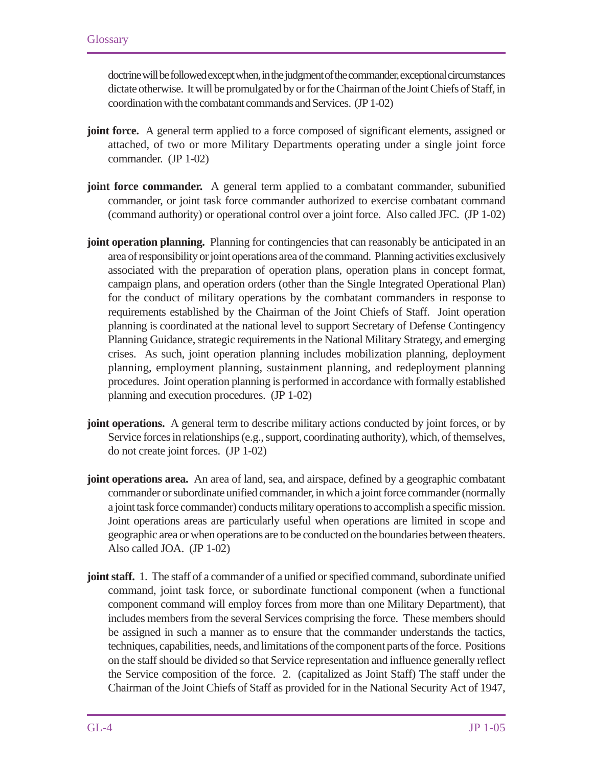doctrine will be followed except when, in the judgment ofthe commander, exceptional circumstances dictate otherwise. It will be promulgated by or for the Chairman of the Joint Chiefs of Staff, in coordination with the combatant commands and Services. (JP 1-02)

- **joint force.** A general term applied to a force composed of significant elements, assigned or attached, of two or more Military Departments operating under a single joint force commander. (JP 1-02)
- **joint force commander.** A general term applied to a combatant commander, subunified commander, or joint task force commander authorized to exercise combatant command (command authority) or operational control over a joint force. Also called JFC. (JP 1-02)
- **joint operation planning.** Planning for contingencies that can reasonably be anticipated in an area of responsibility or joint operations area of the command. Planning activities exclusively associated with the preparation of operation plans, operation plans in concept format, campaign plans, and operation orders (other than the Single Integrated Operational Plan) for the conduct of military operations by the combatant commanders in response to requirements established by the Chairman of the Joint Chiefs of Staff.Joint operation planning is coordinated at the national level to support Secretary of Defense Contingency Planning Guidance, strategic requirements in the National Military Strategy, and emerging crises. As such, joint operation planning includes mobilization planning, deployment planning, employment planning, sustainment planning, and redeployment planning procedures. Joint operation planning is performed in accordance with formally established planning and execution procedures. (JP 1-02)
- **joint operations.** A general term to describe military actions conducted by joint forces, or by Service forces in relationships (e.g., support, coordinating authority), which, of themselves, do not create joint forces. (JP 1-02)
- **joint operations area.** An area of land, sea, and airspace, defined by a geographic combatant commander or subordinate unified commander, in which a joint force commander (normally a joint task force commander) conducts military operations to accomplish a specific mission. Joint operations areas are particularly useful when operations are limited in scope and geographic area or when operations are to be conducted on the boundaries between theaters. Also called JOA. (JP 1-02)
- **joint staff.** 1. The staff of a commander of a unified or specified command, subordinate unified command, joint task force, or subordinate functional component (when a functional component command will employ forces from more than one Military Department), that includes members from the several Services comprising the force. These members should be assigned in such a manner as to ensure that the commander understands the tactics, techniques, capabilities, needs, and limitations of the component parts of the force. Positions on the staff should be divided so that Service representation and influence generally reflect the Service composition of the force. 2. (capitalized as Joint Staff) The staff under the Chairman of the Joint Chiefs of Staff as provided for in the National Security Act of 1947,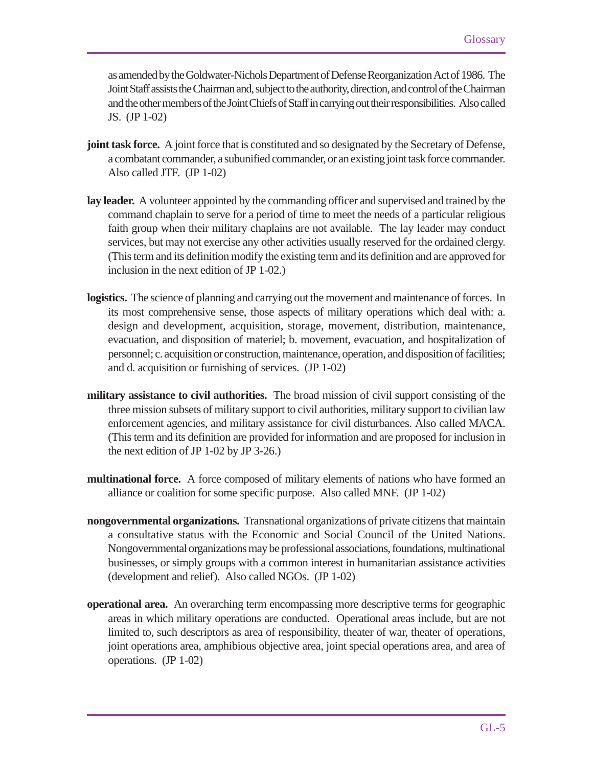as amended by the Goldwater-Nichols Department of Defense Reorganization Act of 1986. The Joint Staff assists the Chairman and, subject to the authority, direction, and control of the Chairman and the other members of the Joint Chiefs of Staff in carrying out their responsibilities. Also called JS. (JP 1-02)

- **joint task force.** A joint force that is constituted and so designated by the Secretary of Defense, a combatant commander, a subunified commander, or an existing joint task force commander. Also called JTF.(JP 1-02)
- **lay leader.** A volunteer appointed by the commanding officer and supervised and trained by the command chaplain to serve for a period of time to meet the needs of a particular religious faith group when their military chaplains are not available. The lay leader may conduct services, but may not exercise any other activities usually reserved for the ordained clergy. (This term and its definition modify the existing term and its definition and are approved for inclusion in the next edition of JP 1-02.)
- **logistics.** The science of planning and carrying out the movement and maintenance of forces. In its most comprehensive sense, those aspects of military operations which deal with: a. design and development, acquisition, storage, movement, distribution, maintenance, evacuation, and disposition of materiel; b. movement, evacuation, and hospitalization of personnel; c. acquisition or construction, maintenance, operation, and disposition of facilities; and d. acquisition or furnishing of services. (JP 1-02)
- **military assistance to civil authorities.** The broad mission of civil support consisting of the three mission subsets of military support to civil authorities, military support to civilian law enforcement agencies, and military assistance for civil disturbances. Also called MACA. (This term and its definition are provided for information and are proposed for inclusion in the next edition of JP 1-02 by JP 3-26.)
- **multinational force.** A force composed of military elements of nations who have formed an alliance or coalition for some specific purpose. Also called MNF. (JP 1-02)
- **nongovernmental organizations.** Transnational organizations of private citizens that maintain a consultative status with the Economic and Social Council of the United Nations. Nongovernmental organizations may be professional associations, foundations, multinational businesses, or simply groups with a common interest in humanitarian assistance activities (development and relief). Also called NGOs. (JP 1-02)
- **operational area.** An overarching term encompassing more descriptive terms for geographic areas in which military operations are conducted. Operational areas include, but are not limited to, such descriptors as area of responsibility, theater of war, theater of operations, joint operations area, amphibious objective area, joint special operations area, and area of operations. (JP 1-02)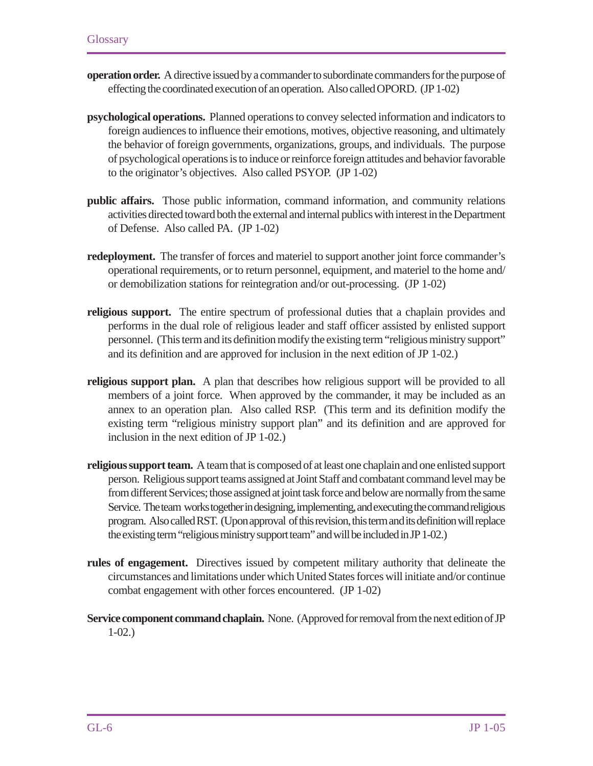- **operation order.** A directive issued by a commander to subordinate commanders for the purpose of effecting the coordinated execution of an operation. Also called OPORD. (JP 1-02)
- **psychological operations.** Planned operations to convey selected information and indicators to foreign audiences to influence their emotions, motives, objective reasoning, and ultimately the behavior of foreign governments, organizations, groups, and individuals. The purpose of psychological operations is to induce or reinforce foreign attitudes and behavior favorable to the originator's objectives. Also called PSYOP. (JP 1-02)
- **public affairs.** Those public information, command information, and community relations activities directed toward both the external and internal publics with interest in the Department of Defense. Also called PA. (JP 1-02)
- **redeployment.** The transfer of forces and materiel to support another joint force commander's operational requirements, or to return personnel, equipment, and materiel to the home and/ or demobilization stations for reintegration and/or out-processing. (JP 1-02)
- **religious support.** The entire spectrum of professional duties that a chaplain provides and performs in the dual role of religious leader and staff officer assisted by enlisted support personnel. (This term and its definition modify the existing term "religious ministry support" and its definition and are approved for inclusion in the next edition of JP 1-02.)
- **religious support plan.** A plan that describes how religious support will be provided to all members of a joint force. When approved by the commander, it may be included as an annex to an operation plan. Also called RSP. (This term and its definition modify the existing term "religious ministry support plan" and its definition and are approved for inclusion in the next edition of JP 1-02.)
- **religious support team.** A team that is composed of at least one chaplain and one enlisted support person. Religious support teams assigned at Joint Staff and combatant command level may be from different Services; those assigned at joint task force and below are normally from the same Service. The team works together in designing, implementing, and executing the command religious program. Also called RST. (Upon approval of this revision, this term and its definition will replace the existing term "religious ministry support team" and will be included in JP 1-02.)
- **rules of engagement.** Directives issued by competent military authority that delineate the circumstances and limitations under which United States forces will initiate and/or continue combat engagement with other forces encountered. (JP 1-02)
- **Service component command chaplain.** None. (Approved for removal from the next edition of JP 1-02.)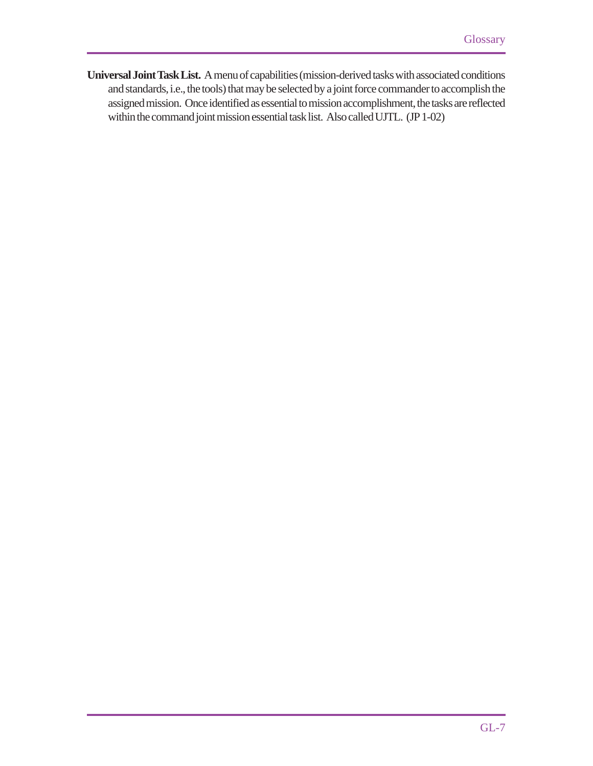**Universal Joint Task List.** A menu of capabilities (mission-derived tasks with associated conditions and standards, i.e., the tools) that may be selected by a joint force commander to accomplish the assigned mission. Once identified as essential to mission accomplishment, the tasks are reflected within the command joint mission essential task list. Also called UJTL. (JP 1-02)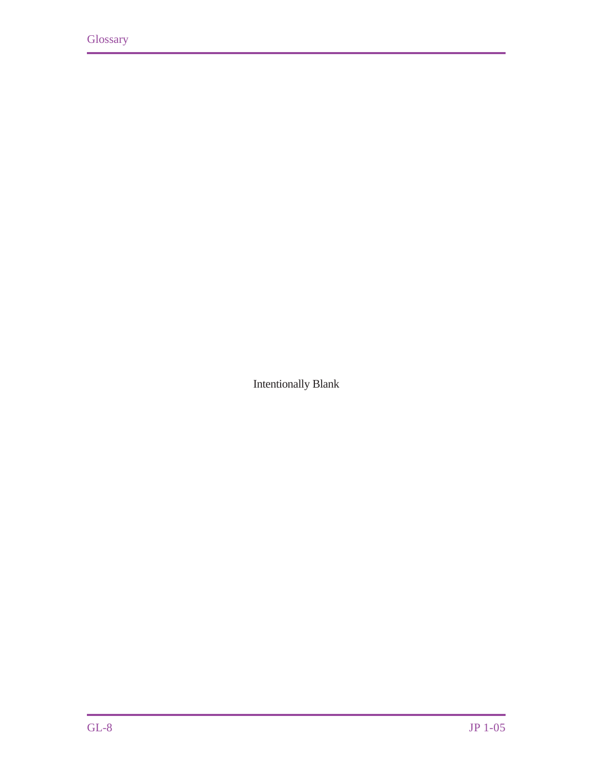Intentionally Blank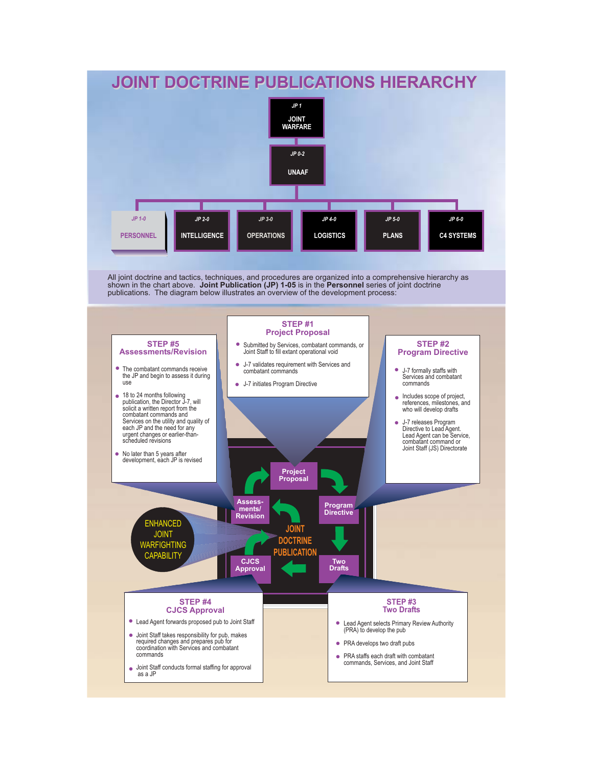